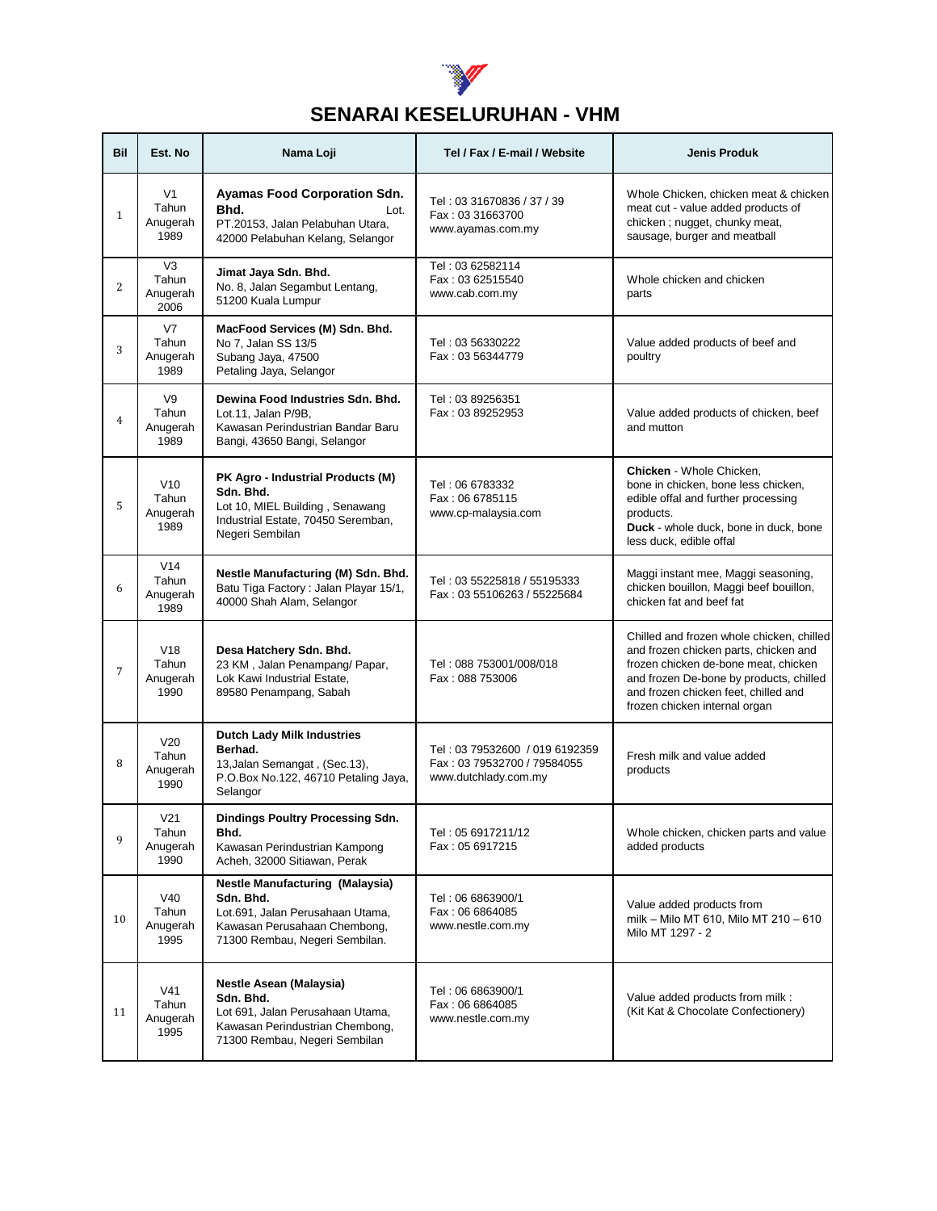

## **SENARAI KESELURUHAN - VHM**

| Bil            | Est. No                                      | Nama Loji                                                                                                                                                 | Tel / Fax / E-mail / Website                                                          | <b>Jenis Produk</b>                                                                                                                                                                                                                            |
|----------------|----------------------------------------------|-----------------------------------------------------------------------------------------------------------------------------------------------------------|---------------------------------------------------------------------------------------|------------------------------------------------------------------------------------------------------------------------------------------------------------------------------------------------------------------------------------------------|
| $\mathbf{1}$   | V <sub>1</sub><br>Tahun<br>Anugerah<br>1989  | <b>Ayamas Food Corporation Sdn.</b><br>Bhd.<br>Lot.<br>PT.20153, Jalan Pelabuhan Utara,<br>42000 Pelabuhan Kelang, Selangor                               | Tel: 03 31670836 / 37 / 39<br>Fax: 03 31663700<br>www.ayamas.com.my                   | Whole Chicken, chicken meat & chicken<br>meat cut - value added products of<br>chicken; nugget, chunky meat,<br>sausage, burger and meatball                                                                                                   |
| 2              | V <sub>3</sub><br>Tahun<br>Anugerah<br>2006  | Jimat Jaya Sdn. Bhd.<br>No. 8, Jalan Segambut Lentang,<br>51200 Kuala Lumpur                                                                              | Tel: 03 62582114<br>Fax: 03 62515540<br>www.cab.com.my                                | Whole chicken and chicken<br>parts                                                                                                                                                                                                             |
| 3              | V <sub>7</sub><br>Tahun<br>Anugerah<br>1989  | MacFood Services (M) Sdn. Bhd.<br>No 7, Jalan SS 13/5<br>Subang Jaya, 47500<br>Petaling Jaya, Selangor                                                    | Tel: 03 56330222<br>Fax: 03 56344779                                                  | Value added products of beef and<br>poultry                                                                                                                                                                                                    |
| $\overline{4}$ | V9<br>Tahun<br>Anugerah<br>1989              | Dewina Food Industries Sdn. Bhd.<br>Lot.11, Jalan P/9B,<br>Kawasan Perindustrian Bandar Baru<br>Bangi, 43650 Bangi, Selangor                              | Tel: 03 89256351<br>Fax: 03 89252953                                                  | Value added products of chicken, beef<br>and mutton                                                                                                                                                                                            |
| 5              | V10<br>Tahun<br>Anugerah<br>1989             | PK Agro - Industrial Products (M)<br>Sdn. Bhd.<br>Lot 10, MIEL Building, Senawang<br>Industrial Estate, 70450 Seremban,<br>Negeri Sembilan                | Tel: 06 6783332<br>Fax: 06 6785115<br>www.cp-malaysia.com                             | Chicken - Whole Chicken,<br>bone in chicken, bone less chicken,<br>edible offal and further processing<br>products.<br>Duck - whole duck, bone in duck, bone<br>less duck, edible offal                                                        |
| 6              | V14<br>Tahun<br>Anugerah<br>1989             | Nestle Manufacturing (M) Sdn. Bhd.<br>Batu Tiga Factory: Jalan Playar 15/1,<br>40000 Shah Alam, Selangor                                                  | Tel: 03 55225818 / 55195333<br>Fax: 03 55106263 / 55225684                            | Maggi instant mee, Maggi seasoning,<br>chicken bouillon, Maggi beef bouillon,<br>chicken fat and beef fat                                                                                                                                      |
| 7              | V18<br>Tahun<br>Anugerah<br>1990             | Desa Hatchery Sdn. Bhd.<br>23 KM, Jalan Penampang/ Papar,<br>Lok Kawi Industrial Estate,<br>89580 Penampang, Sabah                                        | Tel: 088 753001/008/018<br>Fax: 088 753006                                            | Chilled and frozen whole chicken, chilled<br>and frozen chicken parts, chicken and<br>frozen chicken de-bone meat, chicken<br>and frozen De-bone by products, chilled<br>and frozen chicken feet, chilled and<br>frozen chicken internal organ |
| 8              | V <sub>20</sub><br>Tahun<br>Anugerah<br>1990 | <b>Dutch Lady Milk Industries</b><br>Berhad.<br>13, Jalan Semangat, (Sec. 13),<br>P.O.Box No.122, 46710 Petaling Jaya,<br>Selangor                        | Tel: 03 79532600 / 019 6192359<br>Fax: 03 79532700 / 79584055<br>www.dutchlady.com.my | Fresh milk and value added<br>products                                                                                                                                                                                                         |
| 9              | V <sub>21</sub><br>Tahun<br>Anugerah<br>1990 | Dindings Poultry Processing Sdn.<br>Bhd.<br>Kawasan Perindustrian Kampong<br>Acheh, 32000 Sitiawan, Perak                                                 | Tel: 05 6917211/12<br>Fax: 05 6917215                                                 | Whole chicken, chicken parts and value<br>added products                                                                                                                                                                                       |
| 10             | V40<br>Tahun<br>Anugerah<br>1995             | <b>Nestle Manufacturing (Malaysia)</b><br>Sdn. Bhd.<br>Lot.691, Jalan Perusahaan Utama,<br>Kawasan Perusahaan Chembong,<br>71300 Rembau, Negeri Sembilan. | Tel: 06 6863900/1<br>Fax: 06 6864085<br>www.nestle.com.my                             | Value added products from<br>milk - Milo MT 610, Milo MT 210 - 610<br>Milo MT 1297 - 2                                                                                                                                                         |
| 11             | V <sub>41</sub><br>Tahun<br>Anugerah<br>1995 | Nestle Asean (Malaysia)<br>Sdn. Bhd.<br>Lot 691, Jalan Perusahaan Utama,<br>Kawasan Perindustrian Chembong,<br>71300 Rembau, Negeri Sembilan              | Tel: 06 6863900/1<br>Fax: 06 6864085<br>www.nestle.com.my                             | Value added products from milk :<br>(Kit Kat & Chocolate Confectionery)                                                                                                                                                                        |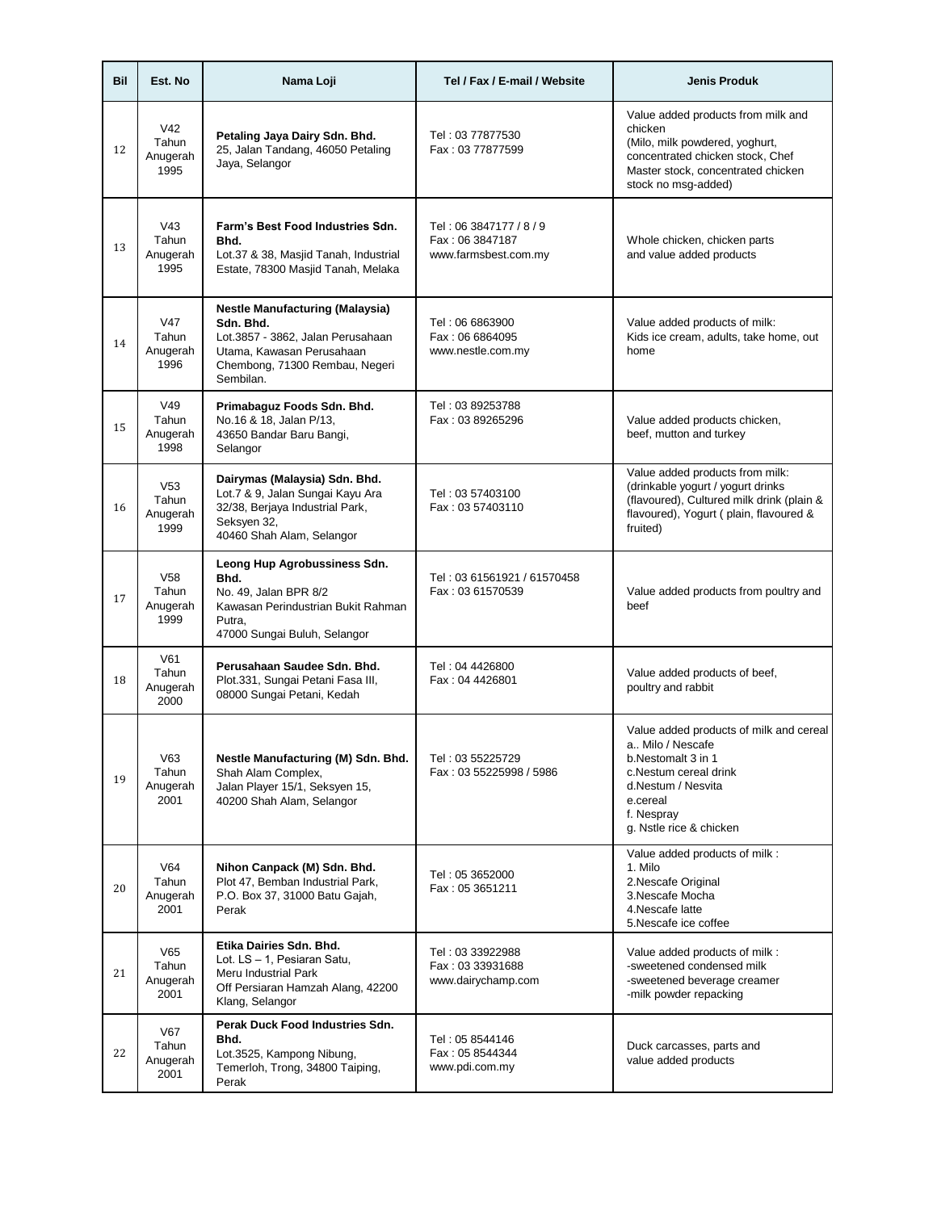| Bil | Est. No                                      | Nama Loji                                                                                                                                                            | Tel / Fax / E-mail / Website                                       | <b>Jenis Produk</b>                                                                                                                                                                     |
|-----|----------------------------------------------|----------------------------------------------------------------------------------------------------------------------------------------------------------------------|--------------------------------------------------------------------|-----------------------------------------------------------------------------------------------------------------------------------------------------------------------------------------|
| 12  | V42<br>Tahun<br>Anugerah<br>1995             | Petaling Jaya Dairy Sdn. Bhd.<br>25, Jalan Tandang, 46050 Petaling<br>Jaya, Selangor                                                                                 | Tel: 03 77877530<br>Fax: 03 77877599                               | Value added products from milk and<br>chicken<br>(Milo, milk powdered, yoghurt,<br>concentrated chicken stock, Chef<br>Master stock, concentrated chicken<br>stock no msg-added)        |
| 13  | V <sub>43</sub><br>Tahun<br>Anugerah<br>1995 | Farm's Best Food Industries Sdn.<br>Bhd.<br>Lot.37 & 38, Masjid Tanah, Industrial<br>Estate, 78300 Masjid Tanah, Melaka                                              | Tel: 06 3847177 / 8 / 9<br>Fax: 06 3847187<br>www.farmsbest.com.my | Whole chicken, chicken parts<br>and value added products                                                                                                                                |
| 14  | V47<br>Tahun<br>Anugerah<br>1996             | <b>Nestle Manufacturing (Malaysia)</b><br>Sdn. Bhd.<br>Lot.3857 - 3862, Jalan Perusahaan<br>Utama, Kawasan Perusahaan<br>Chembong, 71300 Rembau, Negeri<br>Sembilan. | Tel: 06 6863900<br>Fax: 06 6864095<br>www.nestle.com.my            | Value added products of milk:<br>Kids ice cream, adults, take home, out<br>home                                                                                                         |
| 15  | V49<br>Tahun<br>Anugerah<br>1998             | Primabaguz Foods Sdn. Bhd.<br>No.16 & 18, Jalan P/13,<br>43650 Bandar Baru Bangi,<br>Selangor                                                                        | Tel: 03 89253788<br>Fax: 03 89265296                               | Value added products chicken,<br>beef, mutton and turkey                                                                                                                                |
| 16  | V <sub>53</sub><br>Tahun<br>Anugerah<br>1999 | Dairymas (Malaysia) Sdn. Bhd.<br>Lot.7 & 9, Jalan Sungai Kayu Ara<br>32/38, Berjaya Industrial Park,<br>Seksyen 32,<br>40460 Shah Alam, Selangor                     | Tel: 03 57403100<br>Fax: 03 57403110                               | Value added products from milk:<br>(drinkable yogurt / yogurt drinks<br>(flavoured), Cultured milk drink (plain &<br>flavoured), Yogurt (plain, flavoured &<br>fruited)                 |
| 17  | V <sub>58</sub><br>Tahun<br>Anugerah<br>1999 | Leong Hup Agrobussiness Sdn.<br>Bhd.<br>No. 49, Jalan BPR 8/2<br>Kawasan Perindustrian Bukit Rahman<br>Putra,<br>47000 Sungai Buluh, Selangor                        | Tel: 03 61561921 / 61570458<br>Fax: 03 61570539                    | Value added products from poultry and<br>beef                                                                                                                                           |
| 18  | V61<br>Tahun<br>Anugerah<br>2000             | Perusahaan Saudee Sdn. Bhd.<br>Plot.331, Sungai Petani Fasa III,<br>08000 Sungai Petani, Kedah                                                                       | Tel: 04 4426800<br>Fax: 04 4426801                                 | Value added products of beef,<br>poultry and rabbit                                                                                                                                     |
| 19  | V63<br>Tahun<br>Anugerah<br>2001             | Nestle Manufacturing (M) Sdn. Bhd.<br>Shah Alam Complex,<br>Jalan Player 15/1, Seksyen 15,<br>40200 Shah Alam, Selangor                                              | Tel: 03 55225729<br>Fax: 03 55225998 / 5986                        | Value added products of milk and cereal<br>a., Milo / Nescafe<br>b.Nestomalt 3 in 1<br>c.Nestum cereal drink<br>d.Nestum / Nesvita<br>e.cereal<br>f. Nespray<br>g. Nstle rice & chicken |
| 20  | V64<br>Tahun<br>Anugerah<br>2001             | Nihon Canpack (M) Sdn. Bhd.<br>Plot 47, Bemban Industrial Park,<br>P.O. Box 37, 31000 Batu Gajah,<br>Perak                                                           | Tel: 05 3652000<br>Fax: 05 3651211                                 | Value added products of milk :<br>1. Milo<br>2.Nescafe Original<br>3.Nescafe Mocha<br>4. Nescafe latte<br>5. Nescafe ice coffee                                                         |
| 21  | V65<br>Tahun<br>Anugerah<br>2001             | Etika Dairies Sdn. Bhd.<br>Lot. LS - 1, Pesiaran Satu,<br>Meru Industrial Park<br>Off Persiaran Hamzah Alang, 42200<br>Klang, Selangor                               | Tel: 03 33922988<br>Fax: 03 33931688<br>www.dairychamp.com         | Value added products of milk :<br>-sweetened condensed milk<br>-sweetened beverage creamer<br>-milk powder repacking                                                                    |
| 22  | <b>V67</b><br>Tahun<br>Anugerah<br>2001      | Perak Duck Food Industries Sdn.<br>Bhd.<br>Lot.3525, Kampong Nibung,<br>Temerloh, Trong, 34800 Taiping,<br>Perak                                                     | Tel: 05 8544146<br>Fax: 05 8544344<br>www.pdi.com.my               | Duck carcasses, parts and<br>value added products                                                                                                                                       |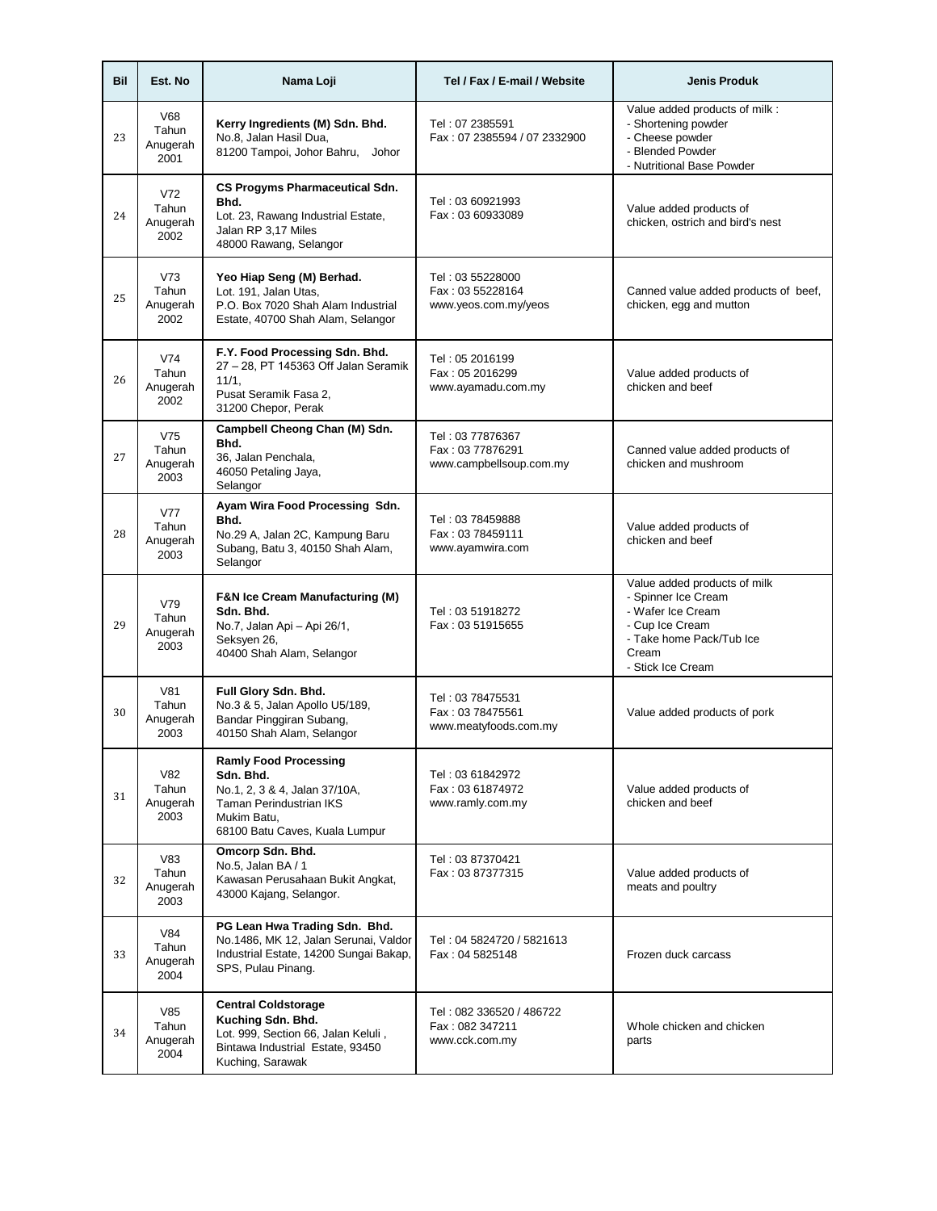| Bil | Est. No                                 | Nama Loji                                                                                                                                              | Tel / Fax / E-mail / Website                                    | <b>Jenis Produk</b>                                                                                                                                   |
|-----|-----------------------------------------|--------------------------------------------------------------------------------------------------------------------------------------------------------|-----------------------------------------------------------------|-------------------------------------------------------------------------------------------------------------------------------------------------------|
| 23  | V68<br>Tahun<br>Anugerah<br>2001        | Kerry Ingredients (M) Sdn. Bhd.<br>No.8, Jalan Hasil Dua,<br>81200 Tampoi, Johor Bahru, Johor                                                          | Tel: 07 2385591<br>Fax: 07 2385594 / 07 2332900                 | Value added products of milk :<br>- Shortening powder<br>- Cheese powder<br>- Blended Powder<br>- Nutritional Base Powder                             |
| 24  | V72<br>Tahun<br>Anugerah<br>2002        | <b>CS Progyms Pharmaceutical Sdn.</b><br>Bhd.<br>Lot. 23, Rawang Industrial Estate,<br>Jalan RP 3,17 Miles<br>48000 Rawang, Selangor                   | Tel: 03 60921993<br>Fax: 03 60933089                            | Value added products of<br>chicken, ostrich and bird's nest                                                                                           |
| 25  | V73<br>Tahun<br>Anugerah<br>2002        | Yeo Hiap Seng (M) Berhad.<br>Lot. 191, Jalan Utas,<br>P.O. Box 7020 Shah Alam Industrial<br>Estate, 40700 Shah Alam, Selangor                          | Tel: 03 55228000<br>Fax: 03 55228164<br>www.yeos.com.my/yeos    | Canned value added products of beef,<br>chicken, egg and mutton                                                                                       |
| 26  | V74<br>Tahun<br>Anugerah<br>2002        | F.Y. Food Processing Sdn. Bhd.<br>27 - 28, PT 145363 Off Jalan Seramik<br>11/1.<br>Pusat Seramik Fasa 2,<br>31200 Chepor, Perak                        | Tel: 05 2016199<br>Fax: 05 2016299<br>www.ayamadu.com.my        | Value added products of<br>chicken and beef                                                                                                           |
| 27  | V75<br>Tahun<br>Anugerah<br>2003        | Campbell Cheong Chan (M) Sdn.<br>Bhd.<br>36, Jalan Penchala,<br>46050 Petaling Jaya,<br>Selangor                                                       | Tel: 03 77876367<br>Fax: 03 77876291<br>www.campbellsoup.com.my | Canned value added products of<br>chicken and mushroom                                                                                                |
| 28  | <b>V77</b><br>Tahun<br>Anugerah<br>2003 | Ayam Wira Food Processing Sdn.<br>Bhd.<br>No.29 A, Jalan 2C, Kampung Baru<br>Subang, Batu 3, 40150 Shah Alam,<br>Selangor                              | Tel: 03 78459888<br>Fax: 03 78459111<br>www.ayamwira.com        | Value added products of<br>chicken and beef                                                                                                           |
| 29  | V79<br>Tahun<br>Anugerah<br>2003        | <b>F&amp;N Ice Cream Manufacturing (M)</b><br>Sdn. Bhd.<br>No.7, Jalan Api - Api 26/1,<br>Seksyen 26,<br>40400 Shah Alam, Selangor                     | Tel: 03 51918272<br>Fax: 03 51915655                            | Value added products of milk<br>- Spinner Ice Cream<br>- Wafer Ice Cream<br>- Cup Ice Cream<br>- Take home Pack/Tub Ice<br>Cream<br>- Stick Ice Cream |
| 30  | V81<br>Tahun<br>Anugerah<br>2003        | Full Glory Sdn. Bhd.<br>No.3 & 5, Jalan Apollo U5/189,<br>Bandar Pinggiran Subang,<br>40150 Shah Alam, Selangor                                        | Tel: 03 78475531<br>Fax: 03 78475561<br>www.meatyfoods.com.my   | Value added products of pork                                                                                                                          |
| 31  | V82<br>Tahun<br>Anugerah<br>2003        | <b>Ramly Food Processing</b><br>Sdn. Bhd.<br>No.1, 2, 3 & 4, Jalan 37/10A,<br>Taman Perindustrian IKS<br>Mukim Batu,<br>68100 Batu Caves, Kuala Lumpur | Tel: 03 61842972<br>Fax: 03 61874972<br>www.ramly.com.my        | Value added products of<br>chicken and beef                                                                                                           |
| 32  | V83<br>Tahun<br>Anugerah<br>2003        | Omcorp Sdn. Bhd.<br>No.5, Jalan BA / 1<br>Kawasan Perusahaan Bukit Angkat,<br>43000 Kajang, Selangor.                                                  | Tel: 03 87370421<br>Fax: 03 87377315                            | Value added products of<br>meats and poultry                                                                                                          |
| 33  | V84<br>Tahun<br>Anugerah<br>2004        | PG Lean Hwa Trading Sdn. Bhd.<br>No.1486, MK 12, Jalan Serunai, Valdor<br>Industrial Estate, 14200 Sungai Bakap,<br>SPS, Pulau Pinang.                 | Tel: 04 5824720 / 5821613<br>Fax: 04 5825148                    | Frozen duck carcass                                                                                                                                   |
| 34  | V85<br>Tahun<br>Anugerah<br>2004        | <b>Central Coldstorage</b><br>Kuching Sdn. Bhd.<br>Lot. 999, Section 66, Jalan Keluli,<br>Bintawa Industrial Estate, 93450<br>Kuching, Sarawak         | Tel: 082 336520 / 486722<br>Fax: 082 347211<br>www.cck.com.my   | Whole chicken and chicken<br>parts                                                                                                                    |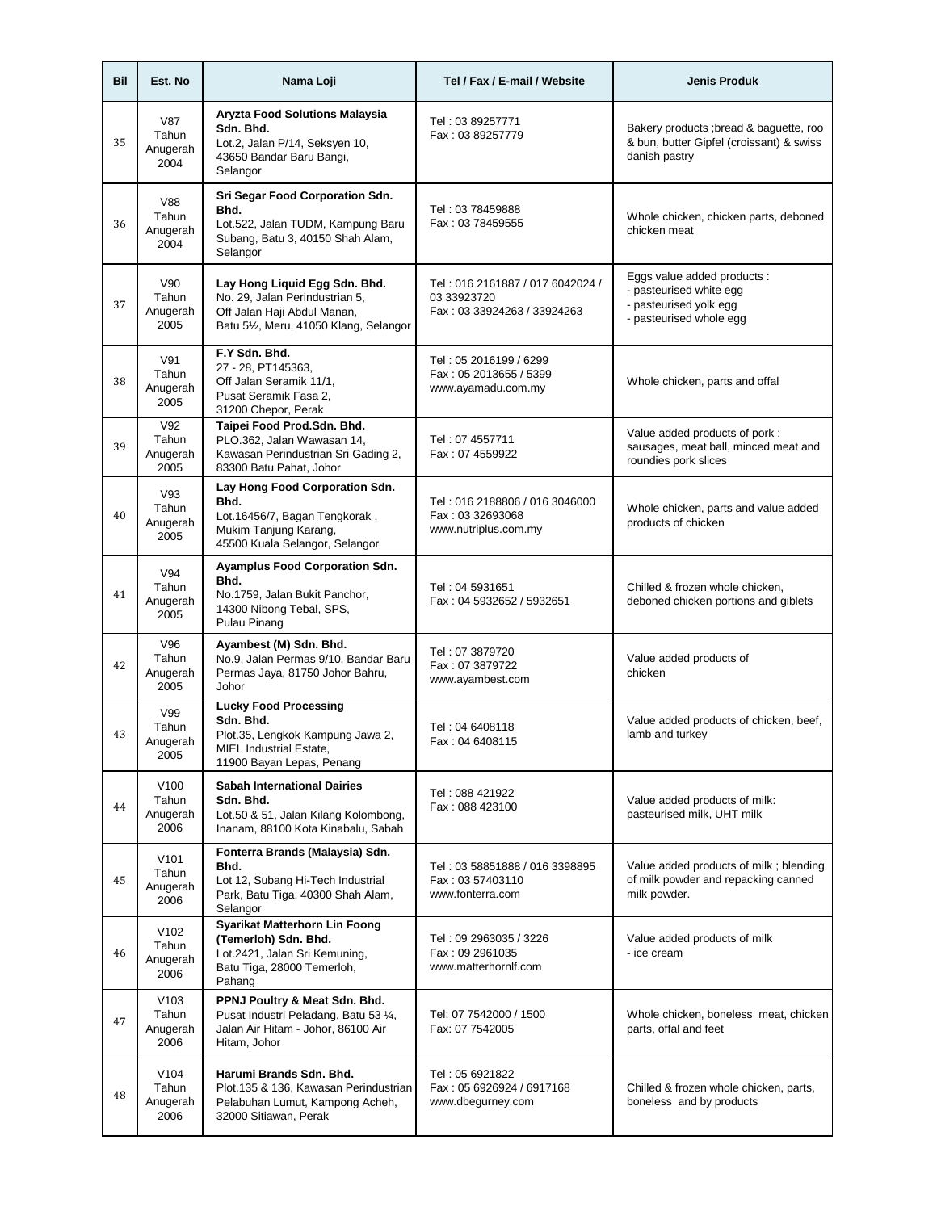| Bil | Est. No                                       | Nama Loji                                                                                                                                    | Tel / Fax / E-mail / Website                                                   | <b>Jenis Produk</b>                                                                                         |
|-----|-----------------------------------------------|----------------------------------------------------------------------------------------------------------------------------------------------|--------------------------------------------------------------------------------|-------------------------------------------------------------------------------------------------------------|
| 35  | <b>V87</b><br>Tahun<br>Anugerah<br>2004       | <b>Aryzta Food Solutions Malaysia</b><br>Sdn. Bhd.<br>Lot.2, Jalan P/14, Seksyen 10,<br>43650 Bandar Baru Bangi,<br>Selangor                 | Tel: 03 89257771<br>Fax: 03 89257779                                           | Bakery products; bread & baguette, roo<br>& bun, butter Gipfel (croissant) & swiss<br>danish pastry         |
| 36  | <b>V88</b><br>Tahun<br>Anugerah<br>2004       | Sri Segar Food Corporation Sdn.<br>Bhd.<br>Lot.522, Jalan TUDM, Kampung Baru<br>Subang, Batu 3, 40150 Shah Alam,<br>Selangor                 | Tel: 03 78459888<br>Fax: 03 78459555                                           | Whole chicken, chicken parts, deboned<br>chicken meat                                                       |
| 37  | V90<br>Tahun<br>Anugerah<br>2005              | Lay Hong Liquid Egg Sdn. Bhd.<br>No. 29, Jalan Perindustrian 5,<br>Off Jalan Haji Abdul Manan,<br>Batu 5½, Meru, 41050 Klang, Selangor       | Tel: 016 2161887 / 017 6042024 /<br>03 33923720<br>Fax: 03 33924263 / 33924263 | Eggs value added products :<br>- pasteurised white egg<br>- pasteurised yolk egg<br>- pasteurised whole egg |
| 38  | V91<br>Tahun<br>Anugerah<br>2005              | F.Y Sdn. Bhd.<br>27 - 28, PT145363,<br>Off Jalan Seramik 11/1,<br>Pusat Seramik Fasa 2,<br>31200 Chepor, Perak                               | Tel: 05 2016199 / 6299<br>Fax: 05 2013655 / 5399<br>www.ayamadu.com.my         | Whole chicken, parts and offal                                                                              |
| 39  | V92<br>Tahun<br>Anugerah<br>2005              | Taipei Food Prod.Sdn. Bhd.<br>PLO.362, Jalan Wawasan 14,<br>Kawasan Perindustrian Sri Gading 2,<br>83300 Batu Pahat, Johor                   | Tel: 07 4557711<br>Fax: 07 4559922                                             | Value added products of pork:<br>sausages, meat ball, minced meat and<br>roundies pork slices               |
| 40  | V93<br>Tahun<br>Anugerah<br>2005              | Lay Hong Food Corporation Sdn.<br>Bhd.<br>Lot.16456/7, Bagan Tengkorak,<br>Mukim Tanjung Karang,<br>45500 Kuala Selangor, Selangor           | Tel: 016 2188806 / 016 3046000<br>Fax: 03 32693068<br>www.nutriplus.com.my     | Whole chicken, parts and value added<br>products of chicken                                                 |
| 41  | V94<br>Tahun<br>Anugerah<br>2005              | <b>Ayamplus Food Corporation Sdn.</b><br>Bhd.<br>No.1759, Jalan Bukit Panchor,<br>14300 Nibong Tebal, SPS,<br>Pulau Pinang                   | Tel: 04 5931651<br>Fax: 04 5932652 / 5932651                                   | Chilled & frozen whole chicken,<br>deboned chicken portions and giblets                                     |
| 42  | V96<br>Tahun<br>Anugerah<br>2005              | Ayambest (M) Sdn. Bhd.<br>No.9, Jalan Permas 9/10, Bandar Baru<br>Permas Jaya, 81750 Johor Bahru,<br>Johor                                   | Tel: 07 3879720<br>Fax: 07 3879722<br>www.ayambest.com                         | Value added products of<br>chicken                                                                          |
| 43  | V99<br>Tahun<br>Anugerah<br>2005              | <b>Lucky Food Processing</b><br>Sdn. Bhd.<br>Plot.35, Lengkok Kampung Jawa 2,<br><b>MIEL Industrial Estate,</b><br>11900 Bayan Lepas, Penang | Tel: 04 6408118<br>Fax: 04 6408115                                             | Value added products of chicken, beef,<br>lamb and turkey                                                   |
| 44  | V <sub>100</sub><br>Tahun<br>Anugerah<br>2006 | <b>Sabah International Dairies</b><br>Sdn. Bhd.<br>Lot.50 & 51, Jalan Kilang Kolombong,<br>Inanam, 88100 Kota Kinabalu, Sabah                | Tel: 088 421922<br>Fax: 088 423100                                             | Value added products of milk:<br>pasteurised milk, UHT milk                                                 |
| 45  | V101<br>Tahun<br>Anugerah<br>2006             | Fonterra Brands (Malaysia) Sdn.<br>Bhd.<br>Lot 12, Subang Hi-Tech Industrial<br>Park, Batu Tiga, 40300 Shah Alam,<br>Selangor                | Tel: 03 58851888 / 016 3398895<br>Fax: 03 57403110<br>www.fonterra.com         | Value added products of milk; blending<br>of milk powder and repacking canned<br>milk powder.               |
| 46  | V <sub>102</sub><br>Tahun<br>Anugerah<br>2006 | Syarikat Matterhorn Lin Foong<br>(Temerloh) Sdn. Bhd.<br>Lot.2421, Jalan Sri Kemuning,<br>Batu Tiga, 28000 Temerloh,<br>Pahang               | Tel: 09 2963035 / 3226<br>Fax: 09 2961035<br>www.matterhornlf.com              | Value added products of milk<br>- ice cream                                                                 |
| 47  | V103<br>Tahun<br>Anugerah<br>2006             | PPNJ Poultry & Meat Sdn. Bhd.<br>Pusat Industri Peladang, Batu 53 1/4,<br>Jalan Air Hitam - Johor, 86100 Air<br>Hitam, Johor                 | Tel: 07 7542000 / 1500<br>Fax: 07 7542005                                      | Whole chicken, boneless meat, chicken<br>parts, offal and feet                                              |
| 48  | V <sub>104</sub><br>Tahun<br>Anugerah<br>2006 | Harumi Brands Sdn. Bhd.<br>Plot.135 & 136, Kawasan Perindustrian<br>Pelabuhan Lumut, Kampong Acheh,<br>32000 Sitiawan, Perak                 | Tel: 05 6921822<br>Fax: 05 6926924 / 6917168<br>www.dbegurney.com              | Chilled & frozen whole chicken, parts,<br>boneless and by products                                          |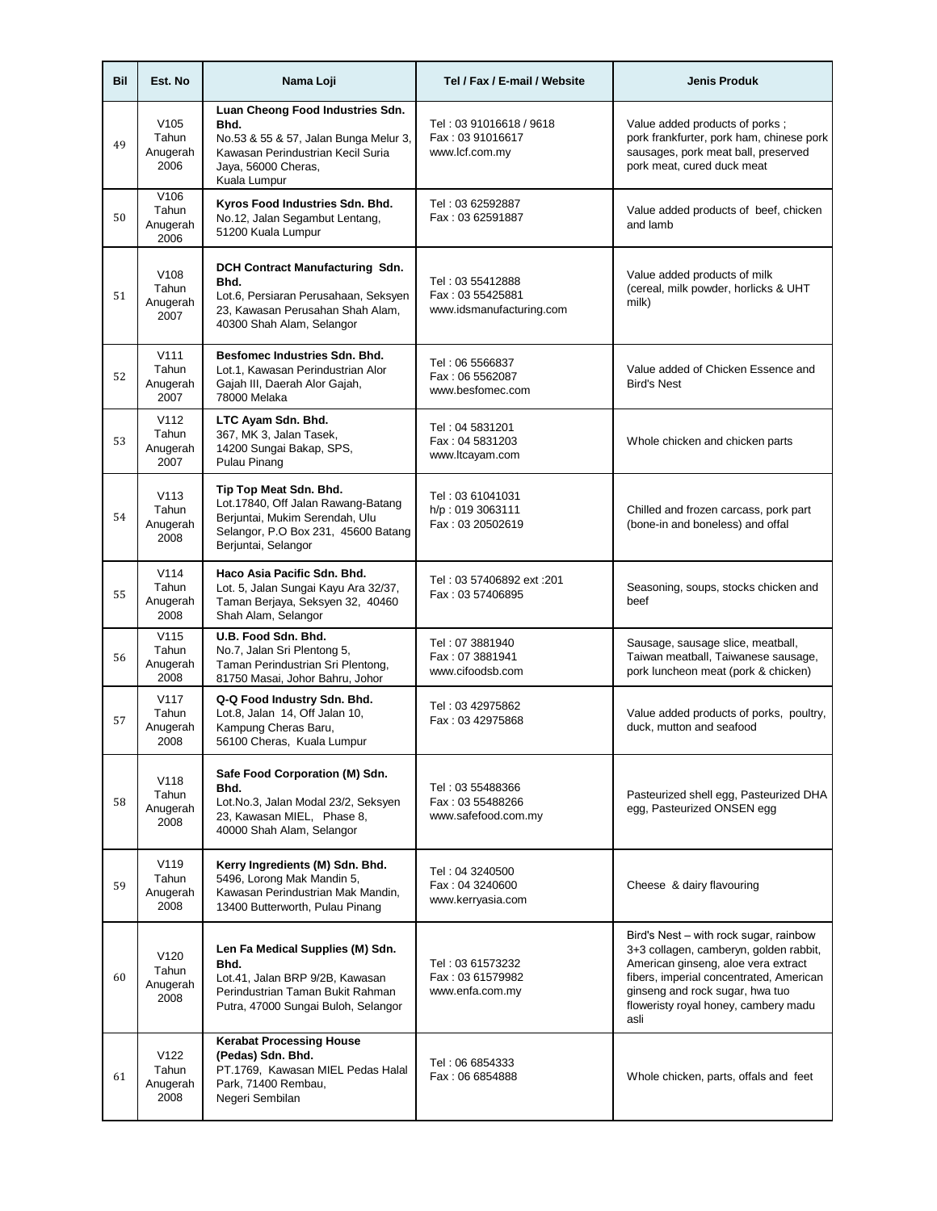| Bil | Est. No                                       | Nama Loji                                                                                                                                                     | Tel / Fax / E-mail / Website                                     | <b>Jenis Produk</b>                                                                                                                                                                                                                                   |
|-----|-----------------------------------------------|---------------------------------------------------------------------------------------------------------------------------------------------------------------|------------------------------------------------------------------|-------------------------------------------------------------------------------------------------------------------------------------------------------------------------------------------------------------------------------------------------------|
| 49  | V <sub>105</sub><br>Tahun<br>Anugerah<br>2006 | Luan Cheong Food Industries Sdn.<br>Bhd.<br>No.53 & 55 & 57, Jalan Bunga Melur 3,<br>Kawasan Perindustrian Kecil Suria<br>Jaya, 56000 Cheras,<br>Kuala Lumpur | Tel: 03 91016618 / 9618<br>Fax: 03 91016617<br>www.lcf.com.my    | Value added products of porks;<br>pork frankfurter, pork ham, chinese pork<br>sausages, pork meat ball, preserved<br>pork meat, cured duck meat                                                                                                       |
| 50  | V106<br>Tahun<br>Anugerah<br>2006             | Kyros Food Industries Sdn. Bhd.<br>No.12, Jalan Segambut Lentang,<br>51200 Kuala Lumpur                                                                       | Tel: 03 62592887<br>Fax: 03 62591887                             | Value added products of beef, chicken<br>and lamb                                                                                                                                                                                                     |
| 51  | V108<br>Tahun<br>Anugerah<br>2007             | DCH Contract Manufacturing Sdn.<br>Bhd.<br>Lot.6, Persiaran Perusahaan, Seksyen<br>23, Kawasan Perusahan Shah Alam,<br>40300 Shah Alam, Selangor              | Tel: 03 55412888<br>Fax: 03 55425881<br>www.idsmanufacturing.com | Value added products of milk<br>(cereal, milk powder, horlicks & UHT<br>milk)                                                                                                                                                                         |
| 52  | V111<br>Tahun<br>Anugerah<br>2007             | Besfomec Industries Sdn. Bhd.<br>Lot.1, Kawasan Perindustrian Alor<br>Gajah III, Daerah Alor Gajah,<br>78000 Melaka                                           | Tel: 06 5566837<br>Fax: 06 5562087<br>www.besfomec.com           | Value added of Chicken Essence and<br><b>Bird's Nest</b>                                                                                                                                                                                              |
| 53  | V112<br>Tahun<br>Anugerah<br>2007             | LTC Ayam Sdn. Bhd.<br>367, MK 3, Jalan Tasek,<br>14200 Sungai Bakap, SPS,<br>Pulau Pinang                                                                     | Tel: 04 5831201<br>Fax: 04 5831203<br>www.ltcayam.com            | Whole chicken and chicken parts                                                                                                                                                                                                                       |
| 54  | V113<br>Tahun<br>Anugerah<br>2008             | Tip Top Meat Sdn. Bhd.<br>Lot.17840, Off Jalan Rawang-Batang<br>Berjuntai, Mukim Serendah, Ulu<br>Selangor, P.O Box 231, 45600 Batang<br>Berjuntai, Selangor  | Tel: 03 61041031<br>h/p: 019 3063111<br>Fax: 03 20502619         | Chilled and frozen carcass, pork part<br>(bone-in and boneless) and offal                                                                                                                                                                             |
| 55  | V114<br>Tahun<br>Anugerah<br>2008             | Haco Asia Pacific Sdn. Bhd.<br>Lot. 5, Jalan Sungai Kayu Ara 32/37,<br>Taman Berjaya, Seksyen 32, 40460<br>Shah Alam, Selangor                                | Tel: 03 57406892 ext: 201<br>Fax: 03 57406895                    | Seasoning, soups, stocks chicken and<br>beef                                                                                                                                                                                                          |
| 56  | V115<br>Tahun<br>Anugerah<br>2008             | U.B. Food Sdn. Bhd.<br>No.7, Jalan Sri Plentong 5,<br>Taman Perindustrian Sri Plentong,<br>81750 Masai, Johor Bahru, Johor                                    | Tel: 07 3881940<br>Fax: 07 3881941<br>www.cifoodsb.com           | Sausage, sausage slice, meatball,<br>Taiwan meatball, Taiwanese sausage,<br>pork luncheon meat (pork & chicken)                                                                                                                                       |
| 57  | V117<br>Tahun<br>Anugerah<br>2008             | Q-Q Food Industry Sdn. Bhd.<br>Lot.8, Jalan 14, Off Jalan 10,<br>Kampung Cheras Baru,<br>56100 Cheras, Kuala Lumpur                                           | Tel: 03 42975862<br>Fax: 03 42975868                             | Value added products of porks, poultry,<br>duck. mutton and seafood                                                                                                                                                                                   |
| 58  | V118<br>Tahun<br>Anugerah<br>2008             | Safe Food Corporation (M) Sdn.<br>Bhd.<br>Lot.No.3, Jalan Modal 23/2, Seksyen<br>23, Kawasan MIEL, Phase 8,<br>40000 Shah Alam, Selangor                      | Tel: 03 55488366<br>Fax: 03 55488266<br>www.safefood.com.my      | Pasteurized shell egg, Pasteurized DHA<br>egg, Pasteurized ONSEN egg                                                                                                                                                                                  |
| 59  | V119<br>Tahun<br>Anugerah<br>2008             | Kerry Ingredients (M) Sdn. Bhd.<br>5496, Lorong Mak Mandin 5,<br>Kawasan Perindustrian Mak Mandin,<br>13400 Butterworth, Pulau Pinang                         | Tel: 04 3240500<br>Fax: 04 3240600<br>www.kerryasia.com          | Cheese & dairy flavouring                                                                                                                                                                                                                             |
| 60  | V <sub>120</sub><br>Tahun<br>Anugerah<br>2008 | Len Fa Medical Supplies (M) Sdn.<br>Bhd.<br>Lot.41, Jalan BRP 9/2B, Kawasan<br>Perindustrian Taman Bukit Rahman<br>Putra, 47000 Sungai Buloh, Selangor        | Tel: 03 61573232<br>Fax: 03 61579982<br>www.enfa.com.my          | Bird's Nest - with rock sugar, rainbow<br>3+3 collagen, camberyn, golden rabbit,<br>American ginseng, aloe vera extract<br>fibers, imperial concentrated, American<br>ginseng and rock sugar, hwa tuo<br>floweristy royal honey, cambery madu<br>asli |
| 61  | V122<br>Tahun<br>Anugerah<br>2008             | <b>Kerabat Processing House</b><br>(Pedas) Sdn. Bhd.<br>PT.1769, Kawasan MIEL Pedas Halal<br>Park, 71400 Rembau,<br>Negeri Sembilan                           | Tel: 06 6854333<br>Fax: 06 6854888                               | Whole chicken, parts, offals and feet                                                                                                                                                                                                                 |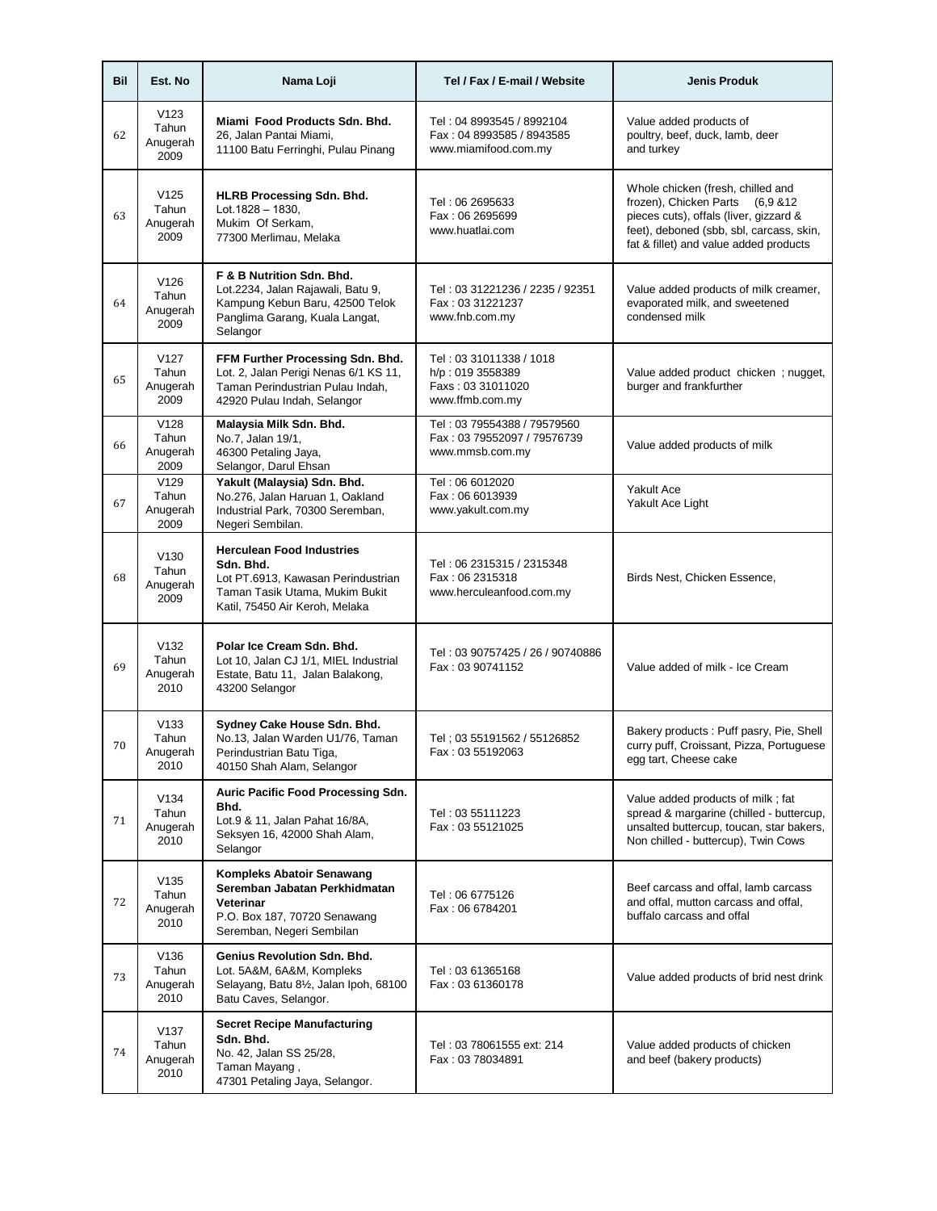| Bil | Est. No                                       | Nama Loji                                                                                                                                               | Tel / Fax / E-mail / Website                                                        | <b>Jenis Produk</b>                                                                                                                                                                                   |
|-----|-----------------------------------------------|---------------------------------------------------------------------------------------------------------------------------------------------------------|-------------------------------------------------------------------------------------|-------------------------------------------------------------------------------------------------------------------------------------------------------------------------------------------------------|
| 62  | V123<br>Tahun<br>Anugerah<br>2009             | Miami Food Products Sdn. Bhd.<br>26, Jalan Pantai Miami,<br>11100 Batu Ferringhi, Pulau Pinang                                                          | Tel: 04 8993545 / 8992104<br>Fax: 04 8993585 / 8943585<br>www.miamifood.com.my      | Value added products of<br>poultry, beef, duck, lamb, deer<br>and turkey                                                                                                                              |
| 63  | V125<br>Tahun<br>Anugerah<br>2009             | <b>HLRB Processing Sdn. Bhd.</b><br>$Lot.1828 - 1830.$<br>Mukim Of Serkam,<br>77300 Merlimau, Melaka                                                    | Tel: 06 2695633<br>Fax: 06 2695699<br>www.huatlai.com                               | Whole chicken (fresh, chilled and<br>frozen), Chicken Parts (6,9 & 12<br>pieces cuts), offals (liver, gizzard &<br>feet), deboned (sbb, sbl, carcass, skin,<br>fat & fillet) and value added products |
| 64  | V126<br>Tahun<br>Anugerah<br>2009             | F & B Nutrition Sdn. Bhd.<br>Lot.2234, Jalan Rajawali, Batu 9,<br>Kampung Kebun Baru, 42500 Telok<br>Panglima Garang, Kuala Langat,<br>Selangor         | Tel: 03 31221236 / 2235 / 92351<br>Fax: 03 31221237<br>www.fnb.com.my               | Value added products of milk creamer,<br>evaporated milk, and sweetened<br>condensed milk                                                                                                             |
| 65  | V127<br>Tahun<br>Anugerah<br>2009             | FFM Further Processing Sdn. Bhd.<br>Lot. 2, Jalan Perigi Nenas 6/1 KS 11,<br>Taman Perindustrian Pulau Indah,<br>42920 Pulau Indah, Selangor            | Tel: 03 31011338 / 1018<br>h/p: 019 3558389<br>Faxs: 03 31011020<br>www.ffmb.com.my | Value added product chicken; nugget,<br>burger and frankfurther                                                                                                                                       |
| 66  | V128<br>Tahun<br>Anugerah<br>2009             | Malaysia Milk Sdn. Bhd.<br>No.7, Jalan 19/1,<br>46300 Petaling Jaya,<br>Selangor, Darul Ehsan                                                           | Tel: 03 79554388 / 79579560<br>Fax: 03 79552097 / 79576739<br>www.mmsb.com.my       | Value added products of milk                                                                                                                                                                          |
| 67  | V <sub>129</sub><br>Tahun<br>Anugerah<br>2009 | Yakult (Malaysia) Sdn. Bhd.<br>No.276, Jalan Haruan 1, Oakland<br>Industrial Park, 70300 Seremban,<br>Negeri Sembilan.                                  | Tel: 06 6012020<br>Fax: 06 6013939<br>www.yakult.com.my                             | <b>Yakult Ace</b><br>Yakult Ace Light                                                                                                                                                                 |
| 68  | V <sub>130</sub><br>Tahun<br>Anugerah<br>2009 | <b>Herculean Food Industries</b><br>Sdn. Bhd.<br>Lot PT.6913, Kawasan Perindustrian<br>Taman Tasik Utama, Mukim Bukit<br>Katil, 75450 Air Keroh, Melaka | Tel: 06 2315315 / 2315348<br>Fax: 06 2315318<br>www.herculeanfood.com.my            | Birds Nest, Chicken Essence,                                                                                                                                                                          |
| 69  | V132<br>Tahun<br>Anugerah<br>2010             | Polar Ice Cream Sdn. Bhd.<br>Lot 10, Jalan CJ 1/1, MIEL Industrial<br>Estate, Batu 11, Jalan Balakong,<br>43200 Selangor                                | Tel: 03 90757425 / 26 / 90740886<br>Fax: 03 90741152                                | Value added of milk - Ice Cream                                                                                                                                                                       |
| 70  | V133<br>Tahun<br>Anugerah<br>2010             | Sydney Cake House Sdn. Bhd.<br>No.13, Jalan Warden U1/76, Taman<br>Perindustrian Batu Tiga,<br>40150 Shah Alam, Selangor                                | Tel: 03 55191562 / 55126852<br>Fax: 03 55192063                                     | Bakery products: Puff pasry, Pie, Shell<br>curry puff, Croissant, Pizza, Portuguese<br>egg tart, Cheese cake                                                                                          |
| 71  | V134<br>Tahun<br>Anugerah<br>2010             | Auric Pacific Food Processing Sdn.<br>Bhd.<br>Lot.9 & 11, Jalan Pahat 16/8A,<br>Seksyen 16, 42000 Shah Alam,<br>Selangor                                | Tel: 03 55111223<br>Fax: 03 55121025                                                | Value added products of milk; fat<br>spread & margarine (chilled - buttercup,<br>unsalted buttercup, toucan, star bakers,<br>Non chilled - buttercup), Twin Cows                                      |
| 72  | V135<br>Tahun<br>Anugerah<br>2010             | Kompleks Abatoir Senawang<br>Seremban Jabatan Perkhidmatan<br>Veterinar<br>P.O. Box 187, 70720 Senawang<br>Seremban, Negeri Sembilan                    | Tel: 06 6775126<br>Fax: 06 6784201                                                  | Beef carcass and offal, lamb carcass<br>and offal, mutton carcass and offal,<br>buffalo carcass and offal                                                                                             |
| 73  | V136<br>Tahun<br>Anugerah<br>2010             | Genius Revolution Sdn. Bhd.<br>Lot. 5A&M, 6A&M, Kompleks<br>Selayang, Batu 81/2, Jalan Ipoh, 68100<br>Batu Caves, Selangor.                             | Tel: 03 61365168<br>Fax: 03 61360178                                                | Value added products of brid nest drink                                                                                                                                                               |
| 74  | V137<br>Tahun<br>Anugerah<br>2010             | <b>Secret Recipe Manufacturing</b><br>Sdn. Bhd.<br>No. 42, Jalan SS 25/28,<br>Taman Mayang,<br>47301 Petaling Jaya, Selangor.                           | Tel: 03 78061555 ext: 214<br>Fax: 03 78034891                                       | Value added products of chicken<br>and beef (bakery products)                                                                                                                                         |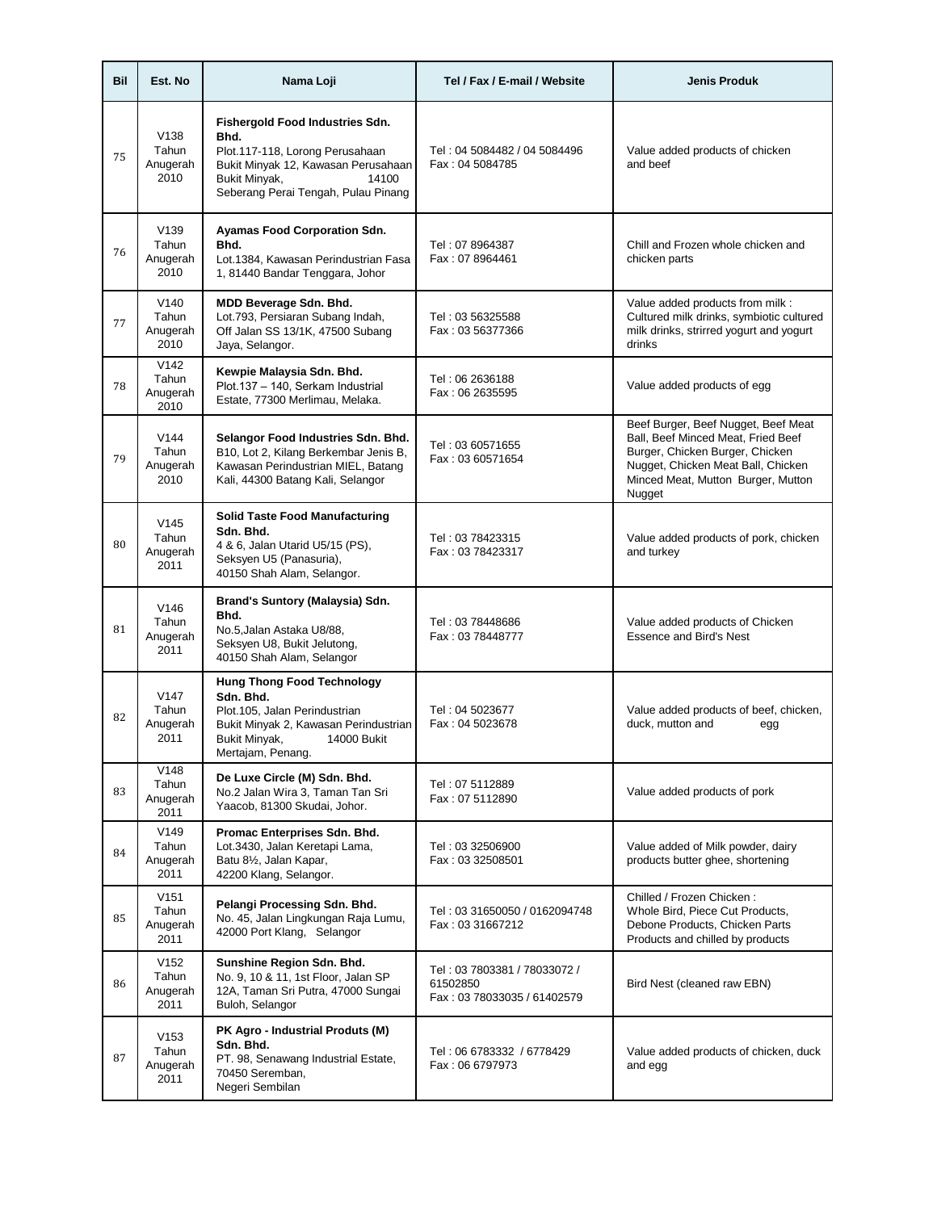| Bil | Est. No                                       | Nama Loji                                                                                                                                                                          | Tel / Fax / E-mail / Website                                            | <b>Jenis Produk</b>                                                                                                                                                                                |
|-----|-----------------------------------------------|------------------------------------------------------------------------------------------------------------------------------------------------------------------------------------|-------------------------------------------------------------------------|----------------------------------------------------------------------------------------------------------------------------------------------------------------------------------------------------|
| 75  | V <sub>138</sub><br>Tahun<br>Anugerah<br>2010 | Fishergold Food Industries Sdn.<br>Bhd.<br>Plot.117-118, Lorong Perusahaan<br>Bukit Minyak 12, Kawasan Perusahaan<br>Bukit Minyak,<br>14100<br>Seberang Perai Tengah, Pulau Pinang | Tel: 04 5084482 / 04 5084496<br>Fax: 04 5084785                         | Value added products of chicken<br>and beef                                                                                                                                                        |
| 76  | V <sub>139</sub><br>Tahun<br>Anugerah<br>2010 | <b>Ayamas Food Corporation Sdn.</b><br>Bhd.<br>Lot.1384. Kawasan Perindustrian Fasa<br>1, 81440 Bandar Tenggara, Johor                                                             | Tel: 07 8964387<br>Fax: 07 8964461                                      | Chill and Frozen whole chicken and<br>chicken parts                                                                                                                                                |
| 77  | V140<br>Tahun<br>Anugerah<br>2010             | MDD Beverage Sdn. Bhd.<br>Lot.793, Persiaran Subang Indah,<br>Off Jalan SS 13/1K, 47500 Subang<br>Jaya, Selangor.                                                                  | Tel: 03 56325588<br>Fax: 03 56377366                                    | Value added products from milk :<br>Cultured milk drinks, symbiotic cultured<br>milk drinks, strirred yogurt and yogurt<br>drinks                                                                  |
| 78  | V142<br>Tahun<br>Anugerah<br>2010             | Kewpie Malaysia Sdn. Bhd.<br>Plot.137 - 140, Serkam Industrial<br>Estate, 77300 Merlimau, Melaka.                                                                                  | Tel: 06 2636188<br>Fax: 06 2635595                                      | Value added products of egg                                                                                                                                                                        |
| 79  | V144<br>Tahun<br>Anugerah<br>2010             | Selangor Food Industries Sdn. Bhd.<br>B10, Lot 2, Kilang Berkembar Jenis B,<br>Kawasan Perindustrian MIEL, Batang<br>Kali, 44300 Batang Kali, Selangor                             | Tel: 03 60571655<br>Fax: 03 60571654                                    | Beef Burger, Beef Nugget, Beef Meat<br>Ball, Beef Minced Meat, Fried Beef<br>Burger, Chicken Burger, Chicken<br>Nugget, Chicken Meat Ball, Chicken<br>Minced Meat, Mutton Burger, Mutton<br>Nugget |
| 80  | V145<br>Tahun<br>Anugerah<br>2011             | <b>Solid Taste Food Manufacturing</b><br>Sdn. Bhd.<br>4 & 6, Jalan Utarid U5/15 (PS),<br>Seksyen U5 (Panasuria),<br>40150 Shah Alam, Selangor.                                     | Tel: 03 78423315<br>Fax: 03 78423317                                    | Value added products of pork, chicken<br>and turkey                                                                                                                                                |
| 81  | V146<br>Tahun<br>Anugerah<br>2011             | Brand's Suntory (Malaysia) Sdn.<br>Bhd.<br>No.5, Jalan Astaka U8/88,<br>Seksyen U8, Bukit Jelutong,<br>40150 Shah Alam, Selangor                                                   | Tel: 03 78448686<br>Fax: 03 78448777                                    | Value added products of Chicken<br><b>Essence and Bird's Nest</b>                                                                                                                                  |
| 82  | V147<br>Tahun<br>Anugerah<br>2011             | <b>Hung Thong Food Technology</b><br>Sdn. Bhd.<br>Plot.105, Jalan Perindustrian<br>Bukit Minyak 2, Kawasan Perindustrian<br>Bukit Minyak,<br>14000 Bukit<br>Mertajam, Penang.      | Tel: 04 5023677<br>Fax: 04 5023678                                      | Value added products of beef, chicken,<br>duck, mutton and<br>egg                                                                                                                                  |
| 83  | V148<br>Tahun<br>Anugerah<br>2011             | De Luxe Circle (M) Sdn. Bhd.<br>No.2 Jalan Wira 3, Taman Tan Sri<br>Yaacob, 81300 Skudai, Johor.                                                                                   | Tel: 07 5112889<br>Fax: 07 5112890                                      | Value added products of pork                                                                                                                                                                       |
| 84  | V149<br>Tahun<br>Anugerah<br>2011             | Promac Enterprises Sdn. Bhd.<br>Lot.3430, Jalan Keretapi Lama,<br>Batu 81/2, Jalan Kapar,<br>42200 Klang, Selangor.                                                                | Tel: 03 32506900<br>Fax: 03 32508501                                    | Value added of Milk powder, dairy<br>products butter ghee, shortening                                                                                                                              |
| 85  | V151<br>Tahun<br>Anugerah<br>2011             | Pelangi Processing Sdn. Bhd.<br>No. 45, Jalan Lingkungan Raja Lumu,<br>42000 Port Klang, Selangor                                                                                  | Tel: 03 31650050 / 0162094748<br>Fax: 03 31667212                       | Chilled / Frozen Chicken:<br>Whole Bird, Piece Cut Products,<br>Debone Products, Chicken Parts<br>Products and chilled by products                                                                 |
| 86  | V152<br>Tahun<br>Anugerah<br>2011             | Sunshine Region Sdn. Bhd.<br>No. 9, 10 & 11, 1st Floor, Jalan SP<br>12A, Taman Sri Putra, 47000 Sungai<br>Buloh, Selangor                                                          | Tel: 03 7803381 / 78033072 /<br>61502850<br>Fax: 03 78033035 / 61402579 | Bird Nest (cleaned raw EBN)                                                                                                                                                                        |
| 87  | V153<br>Tahun<br>Anugerah<br>2011             | PK Agro - Industrial Produts (M)<br>Sdn. Bhd.<br>PT. 98, Senawang Industrial Estate,<br>70450 Seremban,<br>Negeri Sembilan                                                         | Tel: 06 6783332 / 6778429<br>Fax: 06 6797973                            | Value added products of chicken, duck<br>and egg                                                                                                                                                   |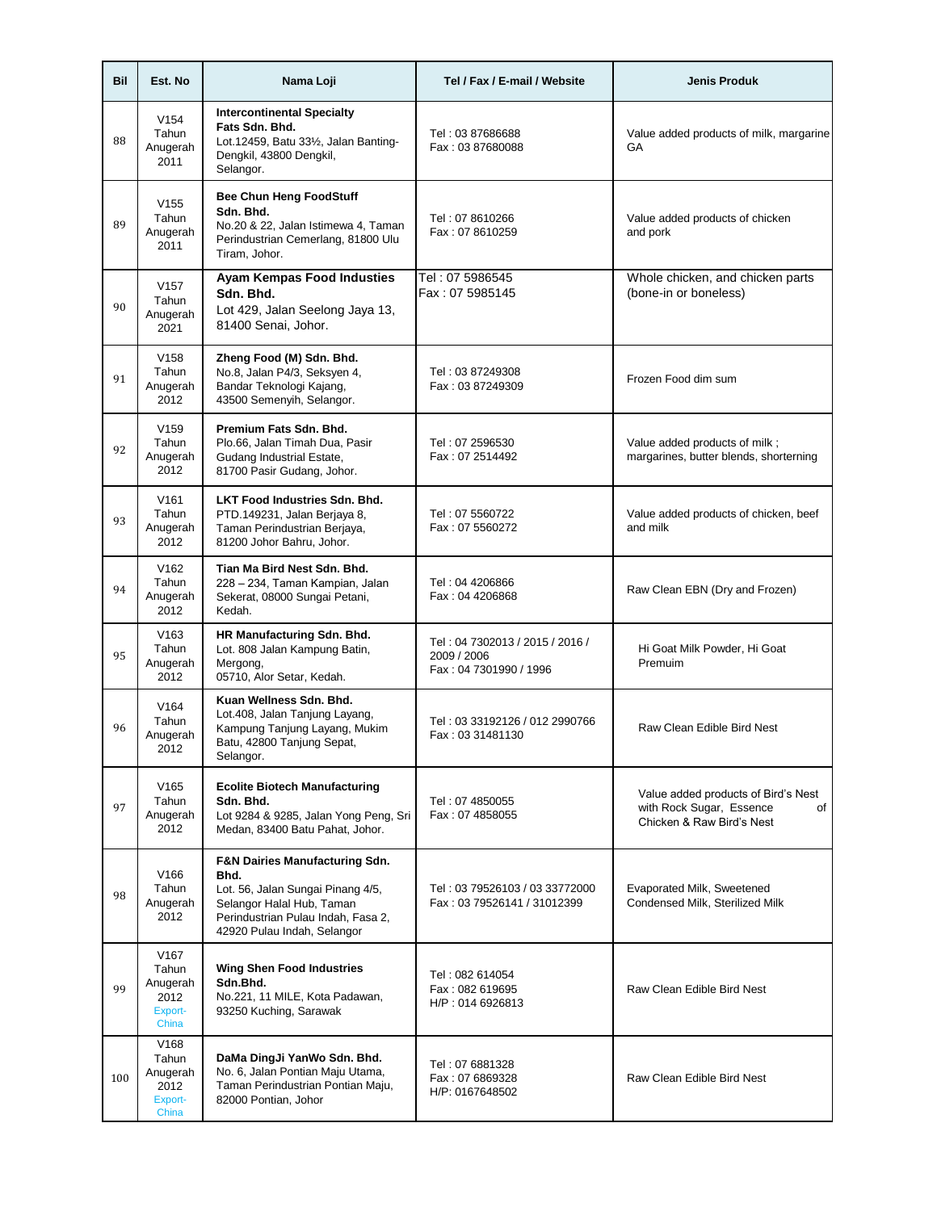| Bil | Est. No                                                           | Nama Loji                                                                                                                                                                                | Tel / Fax / E-mail / Website                                             | <b>Jenis Produk</b>                                                                                |
|-----|-------------------------------------------------------------------|------------------------------------------------------------------------------------------------------------------------------------------------------------------------------------------|--------------------------------------------------------------------------|----------------------------------------------------------------------------------------------------|
| 88  | V154<br>Tahun<br>Anugerah<br>2011                                 | <b>Intercontinental Specialty</b><br>Fats Sdn. Bhd.<br>Lot.12459, Batu 331/2, Jalan Banting-<br>Dengkil, 43800 Dengkil,<br>Selangor.                                                     | Tel: 03 87686688<br>Fax: 03 87680088                                     | Value added products of milk, margarine<br>GA                                                      |
| 89  | V155<br>Tahun<br>Anugerah<br>2011                                 | <b>Bee Chun Heng FoodStuff</b><br>Sdn. Bhd.<br>No.20 & 22, Jalan Istimewa 4, Taman<br>Perindustrian Cemerlang, 81800 Ulu<br>Tiram, Johor.                                                | Tel: 07 8610266<br>Fax: 07 8610259                                       | Value added products of chicken<br>and pork                                                        |
| 90  | V157<br>Tahun<br>Anugerah<br>2021                                 | Ayam Kempas Food Industies<br>Sdn. Bhd.<br>Lot 429, Jalan Seelong Jaya 13,<br>81400 Senai, Johor.                                                                                        | Tel: 07 5986545<br>Fax: 07 5985145                                       | Whole chicken, and chicken parts<br>(bone-in or boneless)                                          |
| 91  | V <sub>158</sub><br>Tahun<br>Anugerah<br>2012                     | Zheng Food (M) Sdn. Bhd.<br>No.8, Jalan P4/3, Seksyen 4,<br>Bandar Teknologi Kajang,<br>43500 Semenyih, Selangor.                                                                        | Tel: 03 87249308<br>Fax: 03 87249309                                     | Frozen Food dim sum                                                                                |
| 92  | V159<br>Tahun<br>Anugerah<br>2012                                 | Premium Fats Sdn. Bhd.<br>Plo.66, Jalan Timah Dua, Pasir<br>Gudang Industrial Estate,<br>81700 Pasir Gudang, Johor.                                                                      | Tel: 07 2596530<br>Fax: 07 2514492                                       | Value added products of milk;<br>margarines, butter blends, shorterning                            |
| 93  | V <sub>161</sub><br>Tahun<br>Anugerah<br>2012                     | <b>LKT Food Industries Sdn. Bhd.</b><br>PTD.149231, Jalan Berjaya 8,<br>Taman Perindustrian Berjaya,<br>81200 Johor Bahru, Johor.                                                        | Tel: 07 5560722<br>Fax: 07 5560272                                       | Value added products of chicken, beef<br>and milk                                                  |
| 94  | V <sub>162</sub><br>Tahun<br>Anugerah<br>2012                     | Tian Ma Bird Nest Sdn. Bhd.<br>228 - 234, Taman Kampian, Jalan<br>Sekerat, 08000 Sungai Petani,<br>Kedah.                                                                                | Tel: 04 4206866<br>Fax: 04 4206868                                       | Raw Clean EBN (Dry and Frozen)                                                                     |
| 95  | V <sub>163</sub><br>Tahun<br>Anugerah<br>2012                     | HR Manufacturing Sdn. Bhd.<br>Lot. 808 Jalan Kampung Batin,<br>Mergong,<br>05710, Alor Setar, Kedah.                                                                                     | Tel: 04 7302013 / 2015 / 2016 /<br>2009 / 2006<br>Fax: 04 7301990 / 1996 | Hi Goat Milk Powder, Hi Goat<br>Premuim                                                            |
| 96  | V <sub>164</sub><br>Tahun<br>Anugerah<br>2012                     | Kuan Wellness Sdn. Bhd.<br>Lot.408, Jalan Tanjung Layang,<br>Kampung Tanjung Layang, Mukim<br>Batu, 42800 Tanjung Sepat,<br>Selangor.                                                    | Tel: 03 33192126 / 012 2990766<br>Fax: 03 31481130                       | Raw Clean Edible Bird Nest                                                                         |
| 97  | V <sub>165</sub><br>Tahun<br>Anugerah<br>2012                     | <b>Ecolite Biotech Manufacturing</b><br>Sdn. Bhd.<br>Lot 9284 & 9285, Jalan Yong Peng, Sri<br>Medan, 83400 Batu Pahat, Johor.                                                            | Tel: 07 4850055<br>Fax: 07 4858055                                       | Value added products of Bird's Nest<br>with Rock Sugar, Essence<br>of<br>Chicken & Raw Bird's Nest |
| 98  | V <sub>166</sub><br>Tahun<br>Anugerah<br>2012                     | <b>F&amp;N Dairies Manufacturing Sdn.</b><br>Bhd.<br>Lot. 56, Jalan Sungai Pinang 4/5,<br>Selangor Halal Hub, Taman<br>Perindustrian Pulau Indah, Fasa 2,<br>42920 Pulau Indah, Selangor | Tel: 03 79526103 / 03 33772000<br>Fax: 03 79526141 / 31012399            | Evaporated Milk, Sweetened<br>Condensed Milk, Sterilized Milk                                      |
| 99  | V <sub>167</sub><br>Tahun<br>Anugerah<br>2012<br>Export-<br>China | <b>Wing Shen Food Industries</b><br>Sdn.Bhd.<br>No.221, 11 MILE, Kota Padawan,<br>93250 Kuching, Sarawak                                                                                 | Tel: 082 614054<br>Fax: 082 619695<br>H/P: 014 6926813                   | Raw Clean Edible Bird Nest                                                                         |
| 100 | V168<br>Tahun<br>Anugerah<br>2012<br>Export-<br>China             | DaMa DingJi YanWo Sdn. Bhd.<br>No. 6, Jalan Pontian Maju Utama,<br>Taman Perindustrian Pontian Maju,<br>82000 Pontian, Johor                                                             | Tel: 07 6881328<br>Fax: 07 6869328<br>H/P: 0167648502                    | Raw Clean Edible Bird Nest                                                                         |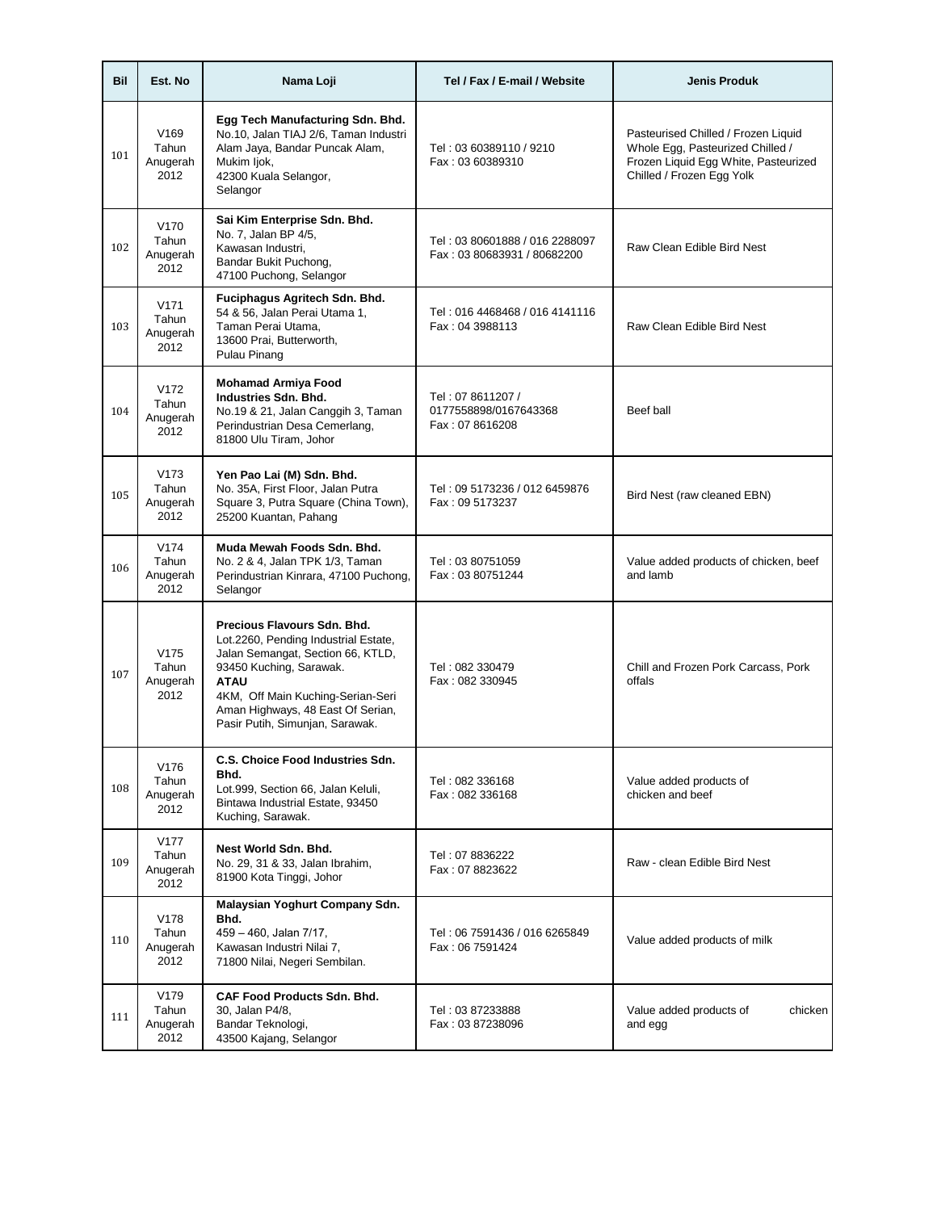| Bil | Est. No                                       | Nama Loji                                                                                                                                                                                                                                                       | Tel / Fax / E-mail / Website                                  | <b>Jenis Produk</b>                                                                                                                          |
|-----|-----------------------------------------------|-----------------------------------------------------------------------------------------------------------------------------------------------------------------------------------------------------------------------------------------------------------------|---------------------------------------------------------------|----------------------------------------------------------------------------------------------------------------------------------------------|
| 101 | V <sub>169</sub><br>Tahun<br>Anugerah<br>2012 | Egg Tech Manufacturing Sdn. Bhd.<br>No.10, Jalan TIAJ 2/6, Taman Industri<br>Alam Jaya, Bandar Puncak Alam,<br>Mukim ljok,<br>42300 Kuala Selangor,<br>Selangor                                                                                                 | Tel: 03 60389110 / 9210<br>Fax: 03 60389310                   | Pasteurised Chilled / Frozen Liquid<br>Whole Egg, Pasteurized Chilled /<br>Frozen Liquid Egg White, Pasteurized<br>Chilled / Frozen Egg Yolk |
| 102 | V <sub>170</sub><br>Tahun<br>Anugerah<br>2012 | Sai Kim Enterprise Sdn. Bhd.<br>No. 7, Jalan BP 4/5,<br>Kawasan Industri.<br>Bandar Bukit Puchong,<br>47100 Puchong, Selangor                                                                                                                                   | Tel: 03 80601888 / 016 2288097<br>Fax: 03 80683931 / 80682200 | Raw Clean Edible Bird Nest                                                                                                                   |
| 103 | V171<br>Tahun<br>Anugerah<br>2012             | Fuciphagus Agritech Sdn. Bhd.<br>54 & 56, Jalan Perai Utama 1,<br>Taman Perai Utama,<br>13600 Prai, Butterworth,<br>Pulau Pinang                                                                                                                                | Tel: 016 4468468 / 016 4141116<br>Fax: 04 3988113             | Raw Clean Edible Bird Nest                                                                                                                   |
| 104 | V <sub>172</sub><br>Tahun<br>Anugerah<br>2012 | <b>Mohamad Armiya Food</b><br>Industries Sdn. Bhd.<br>No.19 & 21, Jalan Canggih 3, Taman<br>Perindustrian Desa Cemerlang,<br>81800 Ulu Tiram, Johor                                                                                                             | Tel: 07 8611207 /<br>0177558898/0167643368<br>Fax: 07 8616208 | Beef ball                                                                                                                                    |
| 105 | V173<br>Tahun<br>Anugerah<br>2012             | Yen Pao Lai (M) Sdn. Bhd.<br>No. 35A, First Floor, Jalan Putra<br>Square 3, Putra Square (China Town),<br>25200 Kuantan, Pahang                                                                                                                                 | Tel: 09 5173236 / 012 6459876<br>Fax: 09 5173237              | Bird Nest (raw cleaned EBN)                                                                                                                  |
| 106 | V174<br>Tahun<br>Anugerah<br>2012             | Muda Mewah Foods Sdn. Bhd.<br>No. 2 & 4, Jalan TPK 1/3, Taman<br>Perindustrian Kinrara, 47100 Puchong,<br>Selangor                                                                                                                                              | Tel: 03 80751059<br>Fax: 03 80751244                          | Value added products of chicken, beef<br>and lamb                                                                                            |
| 107 | V <sub>175</sub><br>Tahun<br>Anugerah<br>2012 | Precious Flavours Sdn. Bhd.<br>Lot.2260, Pending Industrial Estate,<br>Jalan Semangat, Section 66, KTLD,<br>93450 Kuching, Sarawak.<br><b>ATAU</b><br>4KM, Off Main Kuching-Serian-Seri<br>Aman Highways, 48 East Of Serian,<br>Pasir Putih, Simunjan, Sarawak. | Tel: 082 330479<br>Fax: 082 330945                            | Chill and Frozen Pork Carcass, Pork<br>offals                                                                                                |
| 108 | V176<br>Tahun<br>Anugerah<br>2012             | C.S. Choice Food Industries Sdn.<br>Bhd.<br>Lot.999, Section 66, Jalan Keluli,<br>Bintawa Industrial Estate, 93450<br>Kuching, Sarawak.                                                                                                                         | Tel: 082 336168<br>Fax: 082 336168                            | Value added products of<br>chicken and beef                                                                                                  |
| 109 | V177<br>Tahun<br>Anugerah<br>2012             | Nest World Sdn. Bhd.<br>No. 29, 31 & 33, Jalan Ibrahim,<br>81900 Kota Tinggi, Johor                                                                                                                                                                             | Tel: 07 8836222<br>Fax: 07 8823622                            | Raw - clean Edible Bird Nest                                                                                                                 |
| 110 | V178<br>Tahun<br>Anugerah<br>2012             | Malaysian Yoghurt Company Sdn.<br>Bhd.<br>459 - 460, Jalan 7/17,<br>Kawasan Industri Nilai 7,<br>71800 Nilai, Negeri Sembilan.                                                                                                                                  | Tel: 06 7591436 / 016 6265849<br>Fax: 06 7591424              | Value added products of milk                                                                                                                 |
| 111 | V179<br>Tahun<br>Anugerah<br>2012             | <b>CAF Food Products Sdn. Bhd.</b><br>30, Jalan P4/8,<br>Bandar Teknologi,<br>43500 Kajang, Selangor                                                                                                                                                            | Tel: 03 87233888<br>Fax: 03 87238096                          | Value added products of<br>chicken<br>and egg                                                                                                |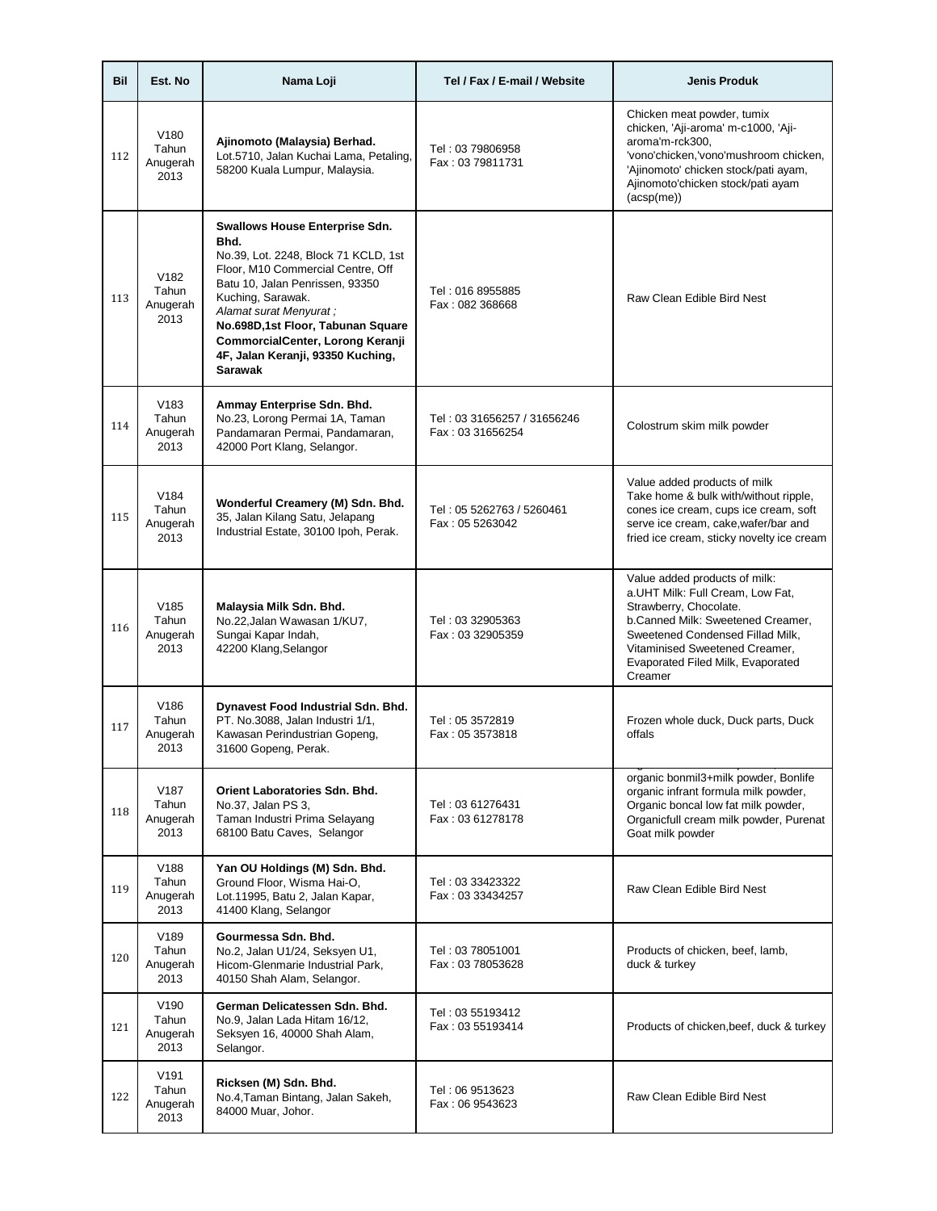| Bil | Est. No                                       | Nama Loji                                                                                                                                                                                                                                                                                                                       | Tel / Fax / E-mail / Website                    | <b>Jenis Produk</b>                                                                                                                                                                                                                                    |
|-----|-----------------------------------------------|---------------------------------------------------------------------------------------------------------------------------------------------------------------------------------------------------------------------------------------------------------------------------------------------------------------------------------|-------------------------------------------------|--------------------------------------------------------------------------------------------------------------------------------------------------------------------------------------------------------------------------------------------------------|
| 112 | V <sub>180</sub><br>Tahun<br>Anugerah<br>2013 | Ajinomoto (Malaysia) Berhad.<br>Lot.5710, Jalan Kuchai Lama, Petaling,<br>58200 Kuala Lumpur, Malaysia.                                                                                                                                                                                                                         | Tel: 03 79806958<br>Fax: 03 79811731            | Chicken meat powder, tumix<br>chicken, 'Aji-aroma' m-c1000, 'Aji-<br>aroma'm-rck300,<br>'vono'chicken,'vono'mushroom chicken,<br>'Ajinomoto' chicken stock/pati ayam,<br>Ajinomoto'chicken stock/pati ayam<br>$(\text{acsp}(me))$                      |
| 113 | V <sub>182</sub><br>Tahun<br>Anugerah<br>2013 | Swallows House Enterprise Sdn.<br>Bhd.<br>No.39, Lot. 2248, Block 71 KCLD, 1st<br>Floor, M10 Commercial Centre, Off<br>Batu 10, Jalan Penrissen, 93350<br>Kuching, Sarawak.<br>Alamat surat Menyurat ;<br>No.698D,1st Floor, Tabunan Square<br>CommorcialCenter, Lorong Keranji<br>4F, Jalan Keranji, 93350 Kuching,<br>Sarawak | Tel: 016 8955885<br>Fax: 082 368668             | Raw Clean Edible Bird Nest                                                                                                                                                                                                                             |
| 114 | V <sub>183</sub><br>Tahun<br>Anugerah<br>2013 | Ammay Enterprise Sdn. Bhd.<br>No.23, Lorong Permai 1A, Taman<br>Pandamaran Permai, Pandamaran,<br>42000 Port Klang, Selangor.                                                                                                                                                                                                   | Tel: 03 31656257 / 31656246<br>Fax: 03 31656254 | Colostrum skim milk powder                                                                                                                                                                                                                             |
| 115 | V <sub>184</sub><br>Tahun<br>Anugerah<br>2013 | Wonderful Creamery (M) Sdn. Bhd.<br>35, Jalan Kilang Satu, Jelapang<br>Industrial Estate, 30100 Ipoh, Perak.                                                                                                                                                                                                                    | Tel: 05 5262763 / 5260461<br>Fax: 05 5263042    | Value added products of milk<br>Take home & bulk with/without ripple,<br>cones ice cream, cups ice cream, soft<br>serve ice cream, cake, wafer/bar and<br>fried ice cream, sticky novelty ice cream                                                    |
| 116 | V185<br>Tahun<br>Anugerah<br>2013             | Malaysia Milk Sdn. Bhd.<br>No.22, Jalan Wawasan 1/KU7,<br>Sungai Kapar Indah,<br>42200 Klang, Selangor                                                                                                                                                                                                                          | Tel: 03 32905363<br>Fax: 03 32905359            | Value added products of milk:<br>a.UHT Milk: Full Cream, Low Fat,<br>Strawberry, Chocolate.<br>b.Canned Milk: Sweetened Creamer,<br>Sweetened Condensed Fillad Milk,<br>Vitaminised Sweetened Creamer,<br>Evaporated Filed Milk, Evaporated<br>Creamer |
| 117 | V186<br>Tahun<br>Anugerah<br>2013             | Dynavest Food Industrial Sdn. Bhd.<br>PT. No.3088, Jalan Industri 1/1,<br>Kawasan Perindustrian Gopeng,<br>31600 Gopeng, Perak.                                                                                                                                                                                                 | Tel: 05 3572819<br>Fax: 05 3573818              | Frozen whole duck, Duck parts, Duck<br>offals                                                                                                                                                                                                          |
| 118 | V <sub>187</sub><br>Tahun<br>Anugerah<br>2013 | Orient Laboratories Sdn. Bhd.<br>No.37, Jalan PS 3,<br>Taman Industri Prima Selayang<br>68100 Batu Caves, Selangor                                                                                                                                                                                                              | Tel: 03 61276431<br>Fax: 03 61278178            | organic bonmil3+milk powder, Bonlife<br>organic infrant formula milk powder,<br>Organic boncal low fat milk powder,<br>Organicfull cream milk powder, Purenat<br>Goat milk powder                                                                      |
| 119 | V188<br>Tahun<br>Anugerah<br>2013             | Yan OU Holdings (M) Sdn. Bhd.<br>Ground Floor, Wisma Hai-O,<br>Lot.11995, Batu 2, Jalan Kapar,<br>41400 Klang, Selangor                                                                                                                                                                                                         | Tel: 03 33423322<br>Fax: 03 33434257            | Raw Clean Edible Bird Nest                                                                                                                                                                                                                             |
| 120 | V189<br>Tahun<br>Anugerah<br>2013             | Gourmessa Sdn. Bhd.<br>No.2, Jalan U1/24, Seksyen U1,<br>Hicom-Glenmarie Industrial Park,<br>40150 Shah Alam, Selangor.                                                                                                                                                                                                         | Tel: 03 78051001<br>Fax: 03 78053628            | Products of chicken, beef, lamb,<br>duck & turkey                                                                                                                                                                                                      |
| 121 | V <sub>190</sub><br>Tahun<br>Anugerah<br>2013 | German Delicatessen Sdn. Bhd.<br>No.9, Jalan Lada Hitam 16/12,<br>Seksyen 16, 40000 Shah Alam,<br>Selangor.                                                                                                                                                                                                                     | Tel: 03 55193412<br>Fax: 03 55193414            | Products of chicken, beef, duck & turkey                                                                                                                                                                                                               |
| 122 | V <sub>191</sub><br>Tahun<br>Anugerah<br>2013 | Ricksen (M) Sdn. Bhd.<br>No.4, Taman Bintang, Jalan Sakeh,<br>84000 Muar, Johor.                                                                                                                                                                                                                                                | Tel: 06 9513623<br>Fax: 06 9543623              | Raw Clean Edible Bird Nest                                                                                                                                                                                                                             |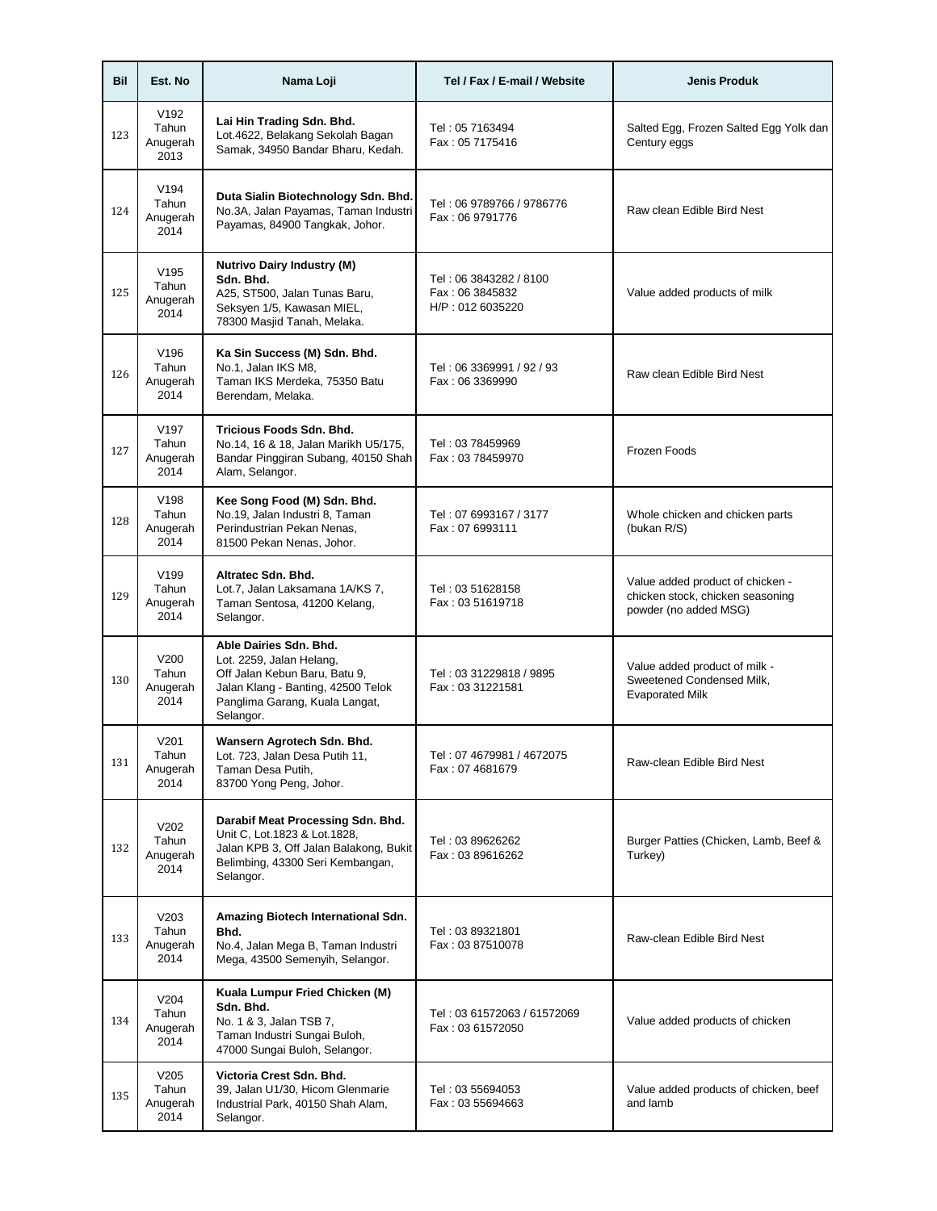| Bil | Est. No                                       | Nama Loji                                                                                                                                                                | Tel / Fax / E-mail / Website                                  | <b>Jenis Produk</b>                                                                           |
|-----|-----------------------------------------------|--------------------------------------------------------------------------------------------------------------------------------------------------------------------------|---------------------------------------------------------------|-----------------------------------------------------------------------------------------------|
| 123 | V <sub>192</sub><br>Tahun<br>Anugerah<br>2013 | Lai Hin Trading Sdn. Bhd.<br>Lot.4622, Belakang Sekolah Bagan<br>Samak, 34950 Bandar Bharu, Kedah.                                                                       | Tel: 05 7163494<br>Fax: 05 7175416                            | Salted Egg, Frozen Salted Egg Yolk dan<br>Century eggs                                        |
| 124 | V194<br>Tahun<br>Anugerah<br>2014             | Duta Sialin Biotechnology Sdn. Bhd.<br>No.3A, Jalan Payamas, Taman Industri<br>Payamas, 84900 Tangkak, Johor.                                                            | Tel: 06 9789766 / 9786776<br>Fax: 06 9791776                  | Raw clean Edible Bird Nest                                                                    |
| 125 | V <sub>195</sub><br>Tahun<br>Anugerah<br>2014 | <b>Nutrivo Dairy Industry (M)</b><br>Sdn. Bhd.<br>A25, ST500, Jalan Tunas Baru,<br>Seksyen 1/5, Kawasan MIEL,<br>78300 Masjid Tanah, Melaka.                             | Tel: 06 3843282 / 8100<br>Fax: 06 3845832<br>H/P: 012 6035220 | Value added products of milk                                                                  |
| 126 | V <sub>196</sub><br>Tahun<br>Anugerah<br>2014 | Ka Sin Success (M) Sdn. Bhd.<br>No.1, Jalan IKS M8,<br>Taman IKS Merdeka, 75350 Batu<br>Berendam, Melaka.                                                                | Tel: 06 3369991 / 92 / 93<br>Fax: 06 3369990                  | Raw clean Edible Bird Nest                                                                    |
| 127 | V <sub>197</sub><br>Tahun<br>Anugerah<br>2014 | Tricious Foods Sdn. Bhd.<br>No.14, 16 & 18, Jalan Marikh U5/175,<br>Bandar Pinggiran Subang, 40150 Shah<br>Alam, Selangor.                                               | Tel: 03 78459969<br>Fax: 03 78459970                          | Frozen Foods                                                                                  |
| 128 | V <sub>198</sub><br>Tahun<br>Anugerah<br>2014 | Kee Song Food (M) Sdn. Bhd.<br>No.19, Jalan Industri 8, Taman<br>Perindustrian Pekan Nenas,<br>81500 Pekan Nenas, Johor.                                                 | Tel: 07 6993167 / 3177<br>Fax: 07 6993111                     | Whole chicken and chicken parts<br>(bukan R/S)                                                |
| 129 | V <sub>199</sub><br>Tahun<br>Anugerah<br>2014 | Altratec Sdn. Bhd.<br>Lot.7, Jalan Laksamana 1A/KS 7,<br>Taman Sentosa, 41200 Kelang,<br>Selangor.                                                                       | Tel: 03 51628158<br>Fax: 03 51619718                          | Value added product of chicken -<br>chicken stock, chicken seasoning<br>powder (no added MSG) |
| 130 | V200<br>Tahun<br>Anugerah<br>2014             | Able Dairies Sdn. Bhd.<br>Lot. 2259, Jalan Helang,<br>Off Jalan Kebun Baru, Batu 9,<br>Jalan Klang - Banting, 42500 Telok<br>Panglima Garang, Kuala Langat,<br>Selangor. | Tel: 03 31229818 / 9895<br>Fax: 03 31221581                   | Value added product of milk -<br>Sweetened Condensed Milk,<br><b>Evaporated Milk</b>          |
| 131 | V201<br>Tahun<br>Anugerah<br>2014             | Wansern Agrotech Sdn. Bhd.<br>Lot. 723, Jalan Desa Putih 11,<br>Taman Desa Putih,<br>83700 Yong Peng, Johor.                                                             | Tel: 07 4679981 / 4672075<br>Fax: 07 4681679                  | Raw-clean Edible Bird Nest                                                                    |
| 132 | V202<br>Tahun<br>Anugerah<br>2014             | Darabif Meat Processing Sdn. Bhd.<br>Unit C, Lot.1823 & Lot.1828,<br>Jalan KPB 3, Off Jalan Balakong, Bukit<br>Belimbing, 43300 Seri Kembangan,<br>Selangor.             | Tel: 03 89626262<br>Fax: 03 89616262                          | Burger Patties (Chicken, Lamb, Beef &<br>Turkey)                                              |
| 133 | V203<br>Tahun<br>Anugerah<br>2014             | Amazing Biotech International Sdn.<br>Bhd.<br>No.4, Jalan Mega B, Taman Industri<br>Mega, 43500 Semenyih, Selangor.                                                      | Tel: 03 89321801<br>Fax: 03 87510078                          | Raw-clean Edible Bird Nest                                                                    |
| 134 | V204<br>Tahun<br>Anugerah<br>2014             | Kuala Lumpur Fried Chicken (M)<br>Sdn. Bhd.<br>No. 1 & 3, Jalan TSB 7,<br>Taman Industri Sungai Buloh,<br>47000 Sungai Buloh, Selangor.                                  | Tel: 03 61572063 / 61572069<br>Fax: 03 61572050               | Value added products of chicken                                                               |
| 135 | V205<br>Tahun<br>Anugerah<br>2014             | Victoria Crest Sdn. Bhd.<br>39, Jalan U1/30, Hicom Glenmarie<br>Industrial Park, 40150 Shah Alam,<br>Selangor.                                                           | Tel: 03 55694053<br>Fax: 03 55694663                          | Value added products of chicken, beef<br>and lamb                                             |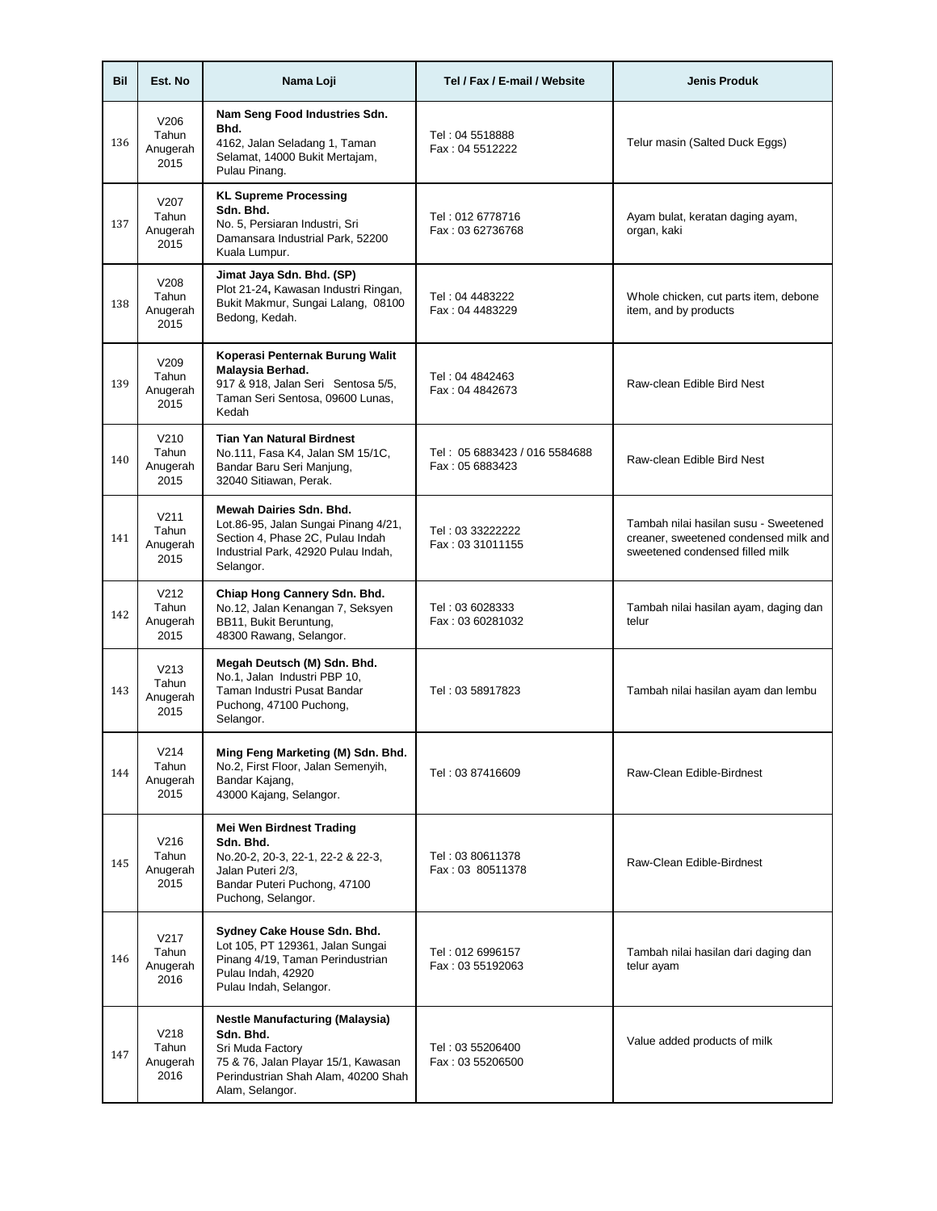| Bil | Est. No                                       | Nama Loji                                                                                                                                                                | Tel / Fax / E-mail / Website                     | <b>Jenis Produk</b>                                                                                               |
|-----|-----------------------------------------------|--------------------------------------------------------------------------------------------------------------------------------------------------------------------------|--------------------------------------------------|-------------------------------------------------------------------------------------------------------------------|
| 136 | V206<br>Tahun<br>Anugerah<br>2015             | Nam Seng Food Industries Sdn.<br>Bhd.<br>4162, Jalan Seladang 1, Taman<br>Selamat, 14000 Bukit Mertajam,<br>Pulau Pinang.                                                | Tel: 04 5518888<br>Fax: 04 5512222               | Telur masin (Salted Duck Eggs)                                                                                    |
| 137 | V207<br>Tahun<br>Anugerah<br>2015             | <b>KL Supreme Processing</b><br>Sdn. Bhd.<br>No. 5, Persiaran Industri, Sri<br>Damansara Industrial Park, 52200<br>Kuala Lumpur.                                         | Tel: 012 6778716<br>Fax: 03 62736768             | Ayam bulat, keratan daging ayam,<br>organ, kaki                                                                   |
| 138 | V208<br>Tahun<br>Anugerah<br>2015             | Jimat Jaya Sdn. Bhd. (SP)<br>Plot 21-24, Kawasan Industri Ringan,<br>Bukit Makmur, Sungai Lalang, 08100<br>Bedong, Kedah.                                                | Tel: 04 4483222<br>Fax: 04 4483229               | Whole chicken, cut parts item, debone<br>item, and by products                                                    |
| 139 | V209<br>Tahun<br>Anugerah<br>2015             | Koperasi Penternak Burung Walit<br>Malaysia Berhad.<br>917 & 918, Jalan Seri Sentosa 5/5,<br>Taman Seri Sentosa, 09600 Lunas,<br>Kedah                                   | Tel: 04 4842463<br>Fax: 04 4842673               | Raw-clean Edible Bird Nest                                                                                        |
| 140 | V <sub>210</sub><br>Tahun<br>Anugerah<br>2015 | <b>Tian Yan Natural Birdnest</b><br>No.111, Fasa K4, Jalan SM 15/1C,<br>Bandar Baru Seri Manjung,<br>32040 Sitiawan, Perak.                                              | Tel: 05 6883423 / 016 5584688<br>Fax: 05 6883423 | Raw-clean Edible Bird Nest                                                                                        |
| 141 | V <sub>211</sub><br>Tahun<br>Anugerah<br>2015 | Mewah Dairies Sdn. Bhd.<br>Lot.86-95, Jalan Sungai Pinang 4/21,<br>Section 4, Phase 2C, Pulau Indah<br>Industrial Park, 42920 Pulau Indah,<br>Selangor.                  | Tel: 03 33222222<br>Fax: 03 31011155             | Tambah nilai hasilan susu - Sweetened<br>creaner, sweetened condensed milk and<br>sweetened condensed filled milk |
| 142 | V <sub>212</sub><br>Tahun<br>Anugerah<br>2015 | Chiap Hong Cannery Sdn. Bhd.<br>No.12, Jalan Kenangan 7, Seksyen<br>BB11, Bukit Beruntung,<br>48300 Rawang, Selangor.                                                    | Tel: 03 6028333<br>Fax: 03 60281032              | Tambah nilai hasilan ayam, daging dan<br>telur                                                                    |
| 143 | V <sub>213</sub><br>Tahun<br>Anugerah<br>2015 | Megah Deutsch (M) Sdn. Bhd.<br>No.1, Jalan Industri PBP 10,<br>Taman Industri Pusat Bandar<br>Puchong, 47100 Puchong,<br>Selangor.                                       | Tel: 03 58917823                                 | Tambah nilai hasilan ayam dan lembu                                                                               |
| 144 | V214<br>Tahun<br>Anugerah<br>2015             | Ming Feng Marketing (M) Sdn. Bhd.<br>No.2, First Floor, Jalan Semenyih,<br>Bandar Kajang,<br>43000 Kajang, Selangor.                                                     | Tel: 03 87416609                                 | Raw-Clean Edible-Birdnest                                                                                         |
| 145 | V <sub>216</sub><br>Tahun<br>Anugerah<br>2015 | <b>Mei Wen Birdnest Trading</b><br>Sdn. Bhd.<br>No.20-2, 20-3, 22-1, 22-2 & 22-3,<br>Jalan Puteri 2/3,<br>Bandar Puteri Puchong, 47100<br>Puchong, Selangor.             | Tel: 03 80611378<br>Fax: 03 80511378             | Raw-Clean Edible-Birdnest                                                                                         |
| 146 | V217<br>Tahun<br>Anugerah<br>2016             | Sydney Cake House Sdn. Bhd.<br>Lot 105, PT 129361, Jalan Sungai<br>Pinang 4/19, Taman Perindustrian<br>Pulau Indah, 42920<br>Pulau Indah, Selangor.                      | Tel: 012 6996157<br>Fax: 03 55192063             | Tambah nilai hasilan dari daging dan<br>telur ayam                                                                |
| 147 | V <sub>218</sub><br>Tahun<br>Anugerah<br>2016 | <b>Nestle Manufacturing (Malaysia)</b><br>Sdn. Bhd.<br>Sri Muda Factory<br>75 & 76, Jalan Playar 15/1, Kawasan<br>Perindustrian Shah Alam, 40200 Shah<br>Alam, Selangor. | Tel: 03 55206400<br>Fax: 03 55206500             | Value added products of milk                                                                                      |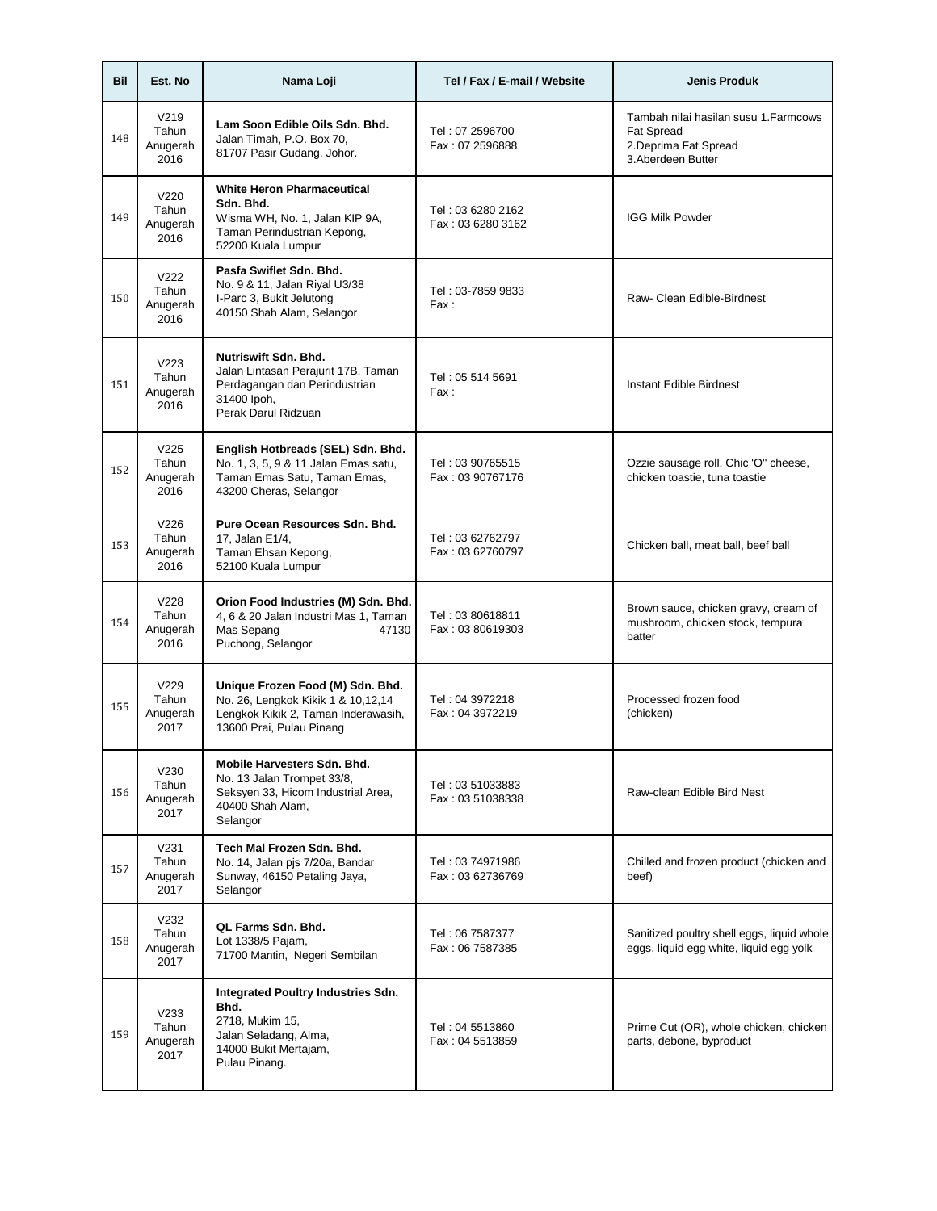| Bil | Est. No                                       | Nama Loji                                                                                                                                 | Tel / Fax / E-mail / Website           | <b>Jenis Produk</b>                                                                                     |
|-----|-----------------------------------------------|-------------------------------------------------------------------------------------------------------------------------------------------|----------------------------------------|---------------------------------------------------------------------------------------------------------|
| 148 | V <sub>219</sub><br>Tahun<br>Anugerah<br>2016 | Lam Soon Edible Oils Sdn. Bhd.<br>Jalan Timah, P.O. Box 70,<br>81707 Pasir Gudang, Johor.                                                 | Tel: 07 2596700<br>Fax: 07 2596888     | Tambah nilai hasilan susu 1. Farmcows<br><b>Fat Spread</b><br>2.Deprima Fat Spread<br>3.Aberdeen Butter |
| 149 | V220<br>Tahun<br>Anugerah<br>2016             | <b>White Heron Pharmaceutical</b><br>Sdn. Bhd.<br>Wisma WH, No. 1, Jalan KIP 9A,<br>Taman Perindustrian Kepong,<br>52200 Kuala Lumpur     | Tel: 03 6280 2162<br>Fax: 03 6280 3162 | <b>IGG Milk Powder</b>                                                                                  |
| 150 | V <sub>222</sub><br>Tahun<br>Anugerah<br>2016 | Pasfa Swiflet Sdn. Bhd.<br>No. 9 & 11, Jalan Riyal U3/38<br>I-Parc 3, Bukit Jelutong<br>40150 Shah Alam, Selangor                         | Tel: 03-7859 9833<br>Fax:              | Raw- Clean Edible-Birdnest                                                                              |
| 151 | V <sub>223</sub><br>Tahun<br>Anugerah<br>2016 | Nutriswift Sdn. Bhd.<br>Jalan Lintasan Perajurit 17B, Taman<br>Perdagangan dan Perindustrian<br>31400 lpoh.<br>Perak Darul Ridzuan        | Tel: 05 514 5691<br>Fax:               | Instant Edible Birdnest                                                                                 |
| 152 | V <sub>225</sub><br>Tahun<br>Anugerah<br>2016 | English Hotbreads (SEL) Sdn. Bhd.<br>No. 1, 3, 5, 9 & 11 Jalan Emas satu,<br>Taman Emas Satu, Taman Emas,<br>43200 Cheras, Selangor       | Tel: 03 90765515<br>Fax: 03 90767176   | Ozzie sausage roll, Chic 'O" cheese,<br>chicken toastie, tuna toastie                                   |
| 153 | V <sub>226</sub><br>Tahun<br>Anugerah<br>2016 | Pure Ocean Resources Sdn. Bhd.<br>17, Jalan E1/4,<br>Taman Ehsan Kepong,<br>52100 Kuala Lumpur                                            | Tel: 03 62762797<br>Fax: 03 62760797   | Chicken ball, meat ball, beef ball                                                                      |
| 154 | V228<br>Tahun<br>Anugerah<br>2016             | Orion Food Industries (M) Sdn. Bhd.<br>4, 6 & 20 Jalan Industri Mas 1, Taman<br>Mas Sepang<br>47130<br>Puchong, Selangor                  | Tel: 03 80618811<br>Fax: 03 80619303   | Brown sauce, chicken gravy, cream of<br>mushroom, chicken stock, tempura<br>batter                      |
| 155 | V229<br>Tahun<br>Anugerah<br>2017             | Unique Frozen Food (M) Sdn. Bhd.<br>No. 26, Lengkok Kikik 1 & 10,12,14<br>Lengkok Kikik 2, Taman Inderawasih,<br>13600 Prai, Pulau Pinang | Tel: 04 3972218<br>Fax: 04 3972219     | Processed frozen food<br>(chicken)                                                                      |
| 156 | V230<br>Tahun<br>Anugerah<br>2017             | Mobile Harvesters Sdn. Bhd.<br>No. 13 Jalan Trompet 33/8,<br>Seksyen 33, Hicom Industrial Area,<br>40400 Shah Alam.<br>Selangor           | Tel: 03 51033883<br>Fax: 03 51038338   | Raw-clean Edible Bird Nest                                                                              |
| 157 | V <sub>231</sub><br>Tahun<br>Anugerah<br>2017 | Tech Mal Frozen Sdn. Bhd.<br>No. 14, Jalan pjs 7/20a, Bandar<br>Sunway, 46150 Petaling Jaya,<br>Selangor                                  | Tel: 03 74971986<br>Fax: 03 62736769   | Chilled and frozen product (chicken and<br>beef)                                                        |
| 158 | V <sub>232</sub><br>Tahun<br>Anugerah<br>2017 | QL Farms Sdn. Bhd.<br>Lot 1338/5 Pajam,<br>71700 Mantin, Negeri Sembilan                                                                  | Tel: 06 7587377<br>Fax: 06 7587385     | Sanitized poultry shell eggs, liquid whole<br>eggs, liquid egg white, liquid egg yolk                   |
| 159 | V233<br>Tahun<br>Anugerah<br>2017             | <b>Integrated Poultry Industries Sdn.</b><br>Bhd.<br>2718, Mukim 15,<br>Jalan Seladang, Alma,<br>14000 Bukit Mertajam,<br>Pulau Pinang.   | Tel: 04 5513860<br>Fax: 04 5513859     | Prime Cut (OR), whole chicken, chicken<br>parts, debone, byproduct                                      |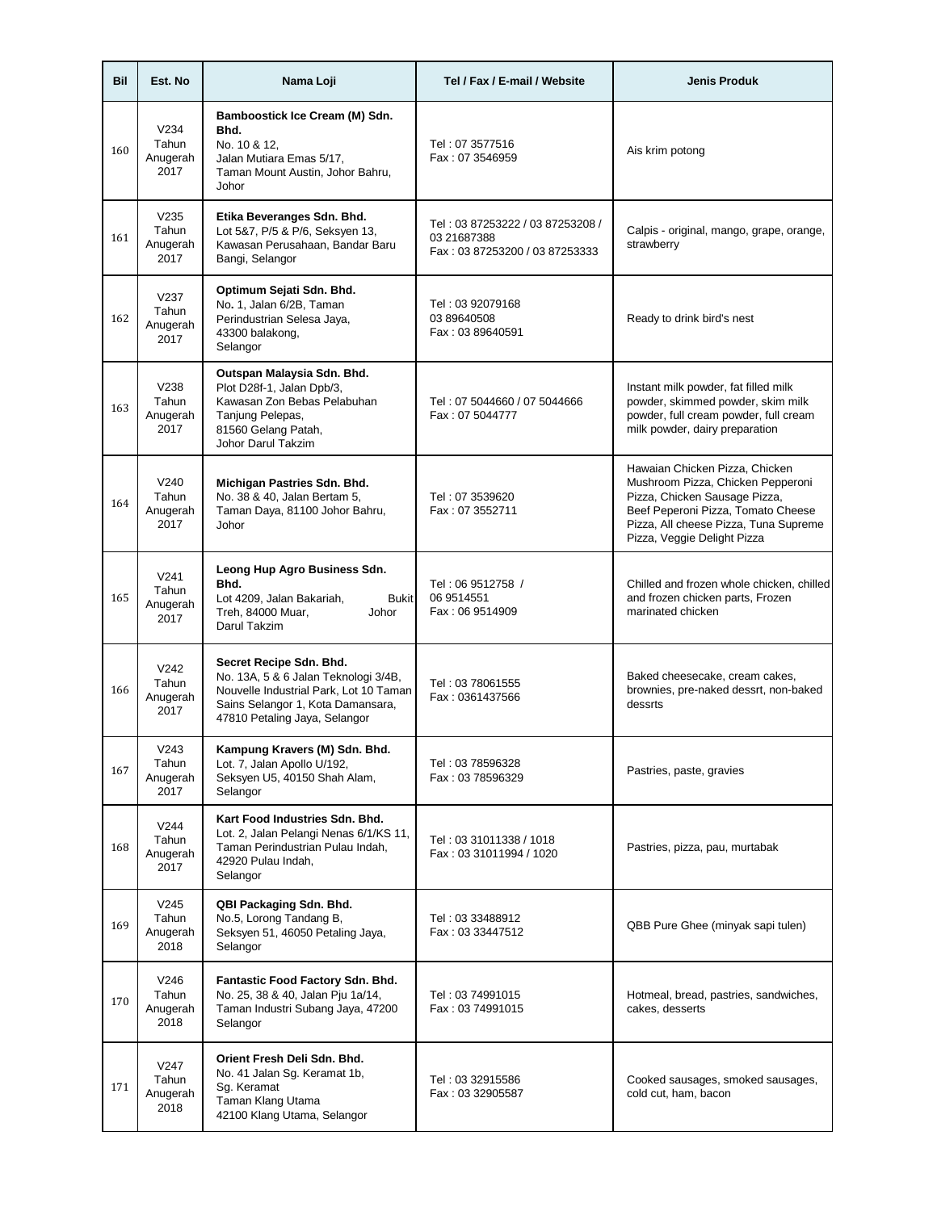| Bil | Est. No                                       | Nama Loji                                                                                                                                                                       | Tel / Fax / E-mail / Website                                                      | <b>Jenis Produk</b>                                                                                                                                                                                                |
|-----|-----------------------------------------------|---------------------------------------------------------------------------------------------------------------------------------------------------------------------------------|-----------------------------------------------------------------------------------|--------------------------------------------------------------------------------------------------------------------------------------------------------------------------------------------------------------------|
| 160 | V <sub>234</sub><br>Tahun<br>Anugerah<br>2017 | Bamboostick Ice Cream (M) Sdn.<br>Bhd.<br>No. 10 & 12,<br>Jalan Mutiara Emas 5/17,<br>Taman Mount Austin, Johor Bahru,<br>Johor                                                 | Tel: 07 3577516<br>Fax: 07 3546959                                                | Ais krim potong                                                                                                                                                                                                    |
| 161 | V <sub>235</sub><br>Tahun<br>Anugerah<br>2017 | Etika Beveranges Sdn. Bhd.<br>Lot 5&7, P/5 & P/6, Seksyen 13,<br>Kawasan Perusahaan, Bandar Baru<br>Bangi, Selangor                                                             | Tel: 03 87253222 / 03 87253208 /<br>03 21687388<br>Fax: 03 87253200 / 03 87253333 | Calpis - original, mango, grape, orange,<br>strawberry                                                                                                                                                             |
| 162 | V237<br>Tahun<br>Anugerah<br>2017             | Optimum Sejati Sdn. Bhd.<br>No. 1, Jalan 6/2B, Taman<br>Perindustrian Selesa Jaya,<br>43300 balakong,<br>Selangor                                                               | Tel: 03 92079168<br>03 89640508<br>Fax: 03 89640591                               | Ready to drink bird's nest                                                                                                                                                                                         |
| 163 | V238<br>Tahun<br>Anugerah<br>2017             | Outspan Malaysia Sdn. Bhd.<br>Plot D28f-1, Jalan Dpb/3,<br>Kawasan Zon Bebas Pelabuhan<br>Tanjung Pelepas,<br>81560 Gelang Patah,<br>Johor Darul Takzim                         | Tel: 07 5044660 / 07 5044666<br>Fax: 07 5044777                                   | Instant milk powder, fat filled milk<br>powder, skimmed powder, skim milk<br>powder, full cream powder, full cream<br>milk powder, dairy preparation                                                               |
| 164 | V <sub>240</sub><br>Tahun<br>Anugerah<br>2017 | Michigan Pastries Sdn. Bhd.<br>No. 38 & 40, Jalan Bertam 5,<br>Taman Daya, 81100 Johor Bahru,<br>Johor                                                                          | Tel: 07 3539620<br>Fax: 07 3552711                                                | Hawaian Chicken Pizza, Chicken<br>Mushroom Pizza, Chicken Pepperoni<br>Pizza, Chicken Sausage Pizza,<br>Beef Peperoni Pizza, Tomato Cheese<br>Pizza, All cheese Pizza, Tuna Supreme<br>Pizza, Veggie Delight Pizza |
| 165 | V <sub>241</sub><br>Tahun<br>Anugerah<br>2017 | Leong Hup Agro Business Sdn.<br>Bhd.<br>Lot 4209, Jalan Bakariah,<br><b>Bukit</b><br>Treh, 84000 Muar,<br>Johor<br>Darul Takzim                                                 | Tel: 06 9512758 /<br>06 9514551<br>Fax: 06 9514909                                | Chilled and frozen whole chicken, chilled<br>and frozen chicken parts, Frozen<br>marinated chicken                                                                                                                 |
| 166 | V <sub>242</sub><br>Tahun<br>Anugerah<br>2017 | Secret Recipe Sdn. Bhd.<br>No. 13A, 5 & 6 Jalan Teknologi 3/4B,<br>Nouvelle Industrial Park, Lot 10 Taman<br>Sains Selangor 1, Kota Damansara,<br>47810 Petaling Jaya, Selangor | Tel: 03 78061555<br>Fax: 0361437566                                               | Baked cheesecake, cream cakes,<br>brownies, pre-naked dessrt, non-baked<br>dessrts                                                                                                                                 |
| 167 | V243<br>Tahun<br>Anugerah<br>2017             | Kampung Kravers (M) Sdn. Bhd.<br>Lot. 7, Jalan Apollo U/192,<br>Seksyen U5, 40150 Shah Alam,<br>Selangor                                                                        | Tel: 03 78596328<br>Fax: 03 78596329                                              | Pastries, paste, gravies                                                                                                                                                                                           |
| 168 | V244<br>Tahun<br>Anugerah<br>2017             | Kart Food Industries Sdn. Bhd.<br>Lot. 2, Jalan Pelangi Nenas 6/1/KS 11,<br>Taman Perindustrian Pulau Indah,<br>42920 Pulau Indah,<br>Selangor                                  | Tel: 03 31011338 / 1018<br>Fax: 03 31011994 / 1020                                | Pastries, pizza, pau, murtabak                                                                                                                                                                                     |
| 169 | V <sub>245</sub><br>Tahun<br>Anugerah<br>2018 | QBI Packaging Sdn. Bhd.<br>No.5, Lorong Tandang B,<br>Seksyen 51, 46050 Petaling Jaya,<br>Selangor                                                                              | Tel: 03 33488912<br>Fax: 03 33447512                                              | QBB Pure Ghee (minyak sapi tulen)                                                                                                                                                                                  |
| 170 | V <sub>246</sub><br>Tahun<br>Anugerah<br>2018 | Fantastic Food Factory Sdn. Bhd.<br>No. 25, 38 & 40, Jalan Pju 1a/14,<br>Taman Industri Subang Jaya, 47200<br>Selangor                                                          | Tel: 03 74991015<br>Fax: 03 74991015                                              | Hotmeal, bread, pastries, sandwiches,<br>cakes, desserts                                                                                                                                                           |
| 171 | V247<br>Tahun<br>Anugerah<br>2018             | Orient Fresh Deli Sdn. Bhd.<br>No. 41 Jalan Sg. Keramat 1b,<br>Sg. Keramat<br>Taman Klang Utama<br>42100 Klang Utama, Selangor                                                  | Tel: 03 32915586<br>Fax: 03 32905587                                              | Cooked sausages, smoked sausages,<br>cold cut, ham, bacon                                                                                                                                                          |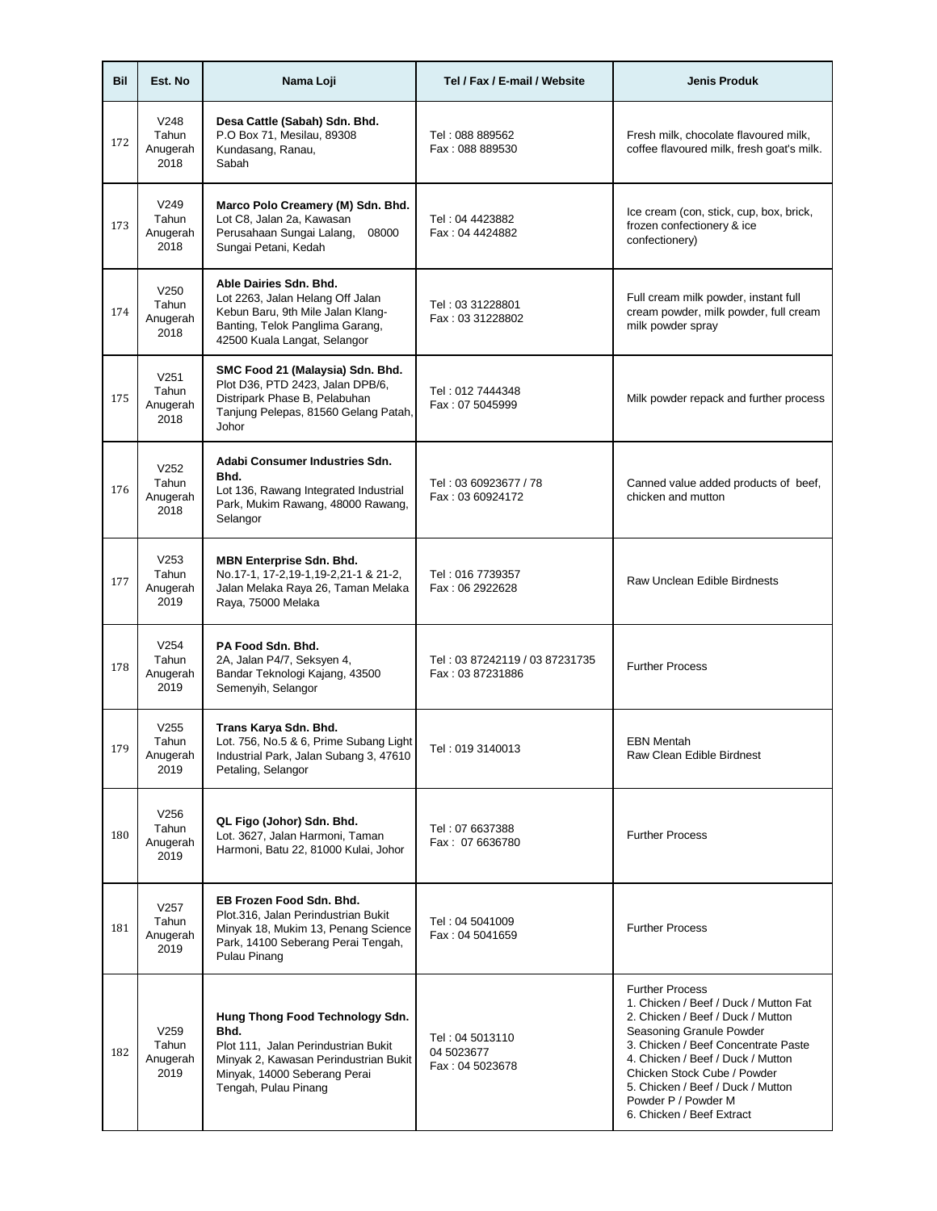| Bil | Est. No                                       | Nama Loji                                                                                                                                                                       | Tel / Fax / E-mail / Website                       | <b>Jenis Produk</b>                                                                                                                                                                                                                                                                                                                  |
|-----|-----------------------------------------------|---------------------------------------------------------------------------------------------------------------------------------------------------------------------------------|----------------------------------------------------|--------------------------------------------------------------------------------------------------------------------------------------------------------------------------------------------------------------------------------------------------------------------------------------------------------------------------------------|
| 172 | V <sub>248</sub><br>Tahun<br>Anugerah<br>2018 | Desa Cattle (Sabah) Sdn. Bhd.<br>P.O Box 71, Mesilau, 89308<br>Kundasang, Ranau,<br>Sabah                                                                                       | Tel: 088 889562<br>Fax: 088 889530                 | Fresh milk, chocolate flavoured milk,<br>coffee flavoured milk, fresh goat's milk.                                                                                                                                                                                                                                                   |
| 173 | V <sub>249</sub><br>Tahun<br>Anugerah<br>2018 | Marco Polo Creamery (M) Sdn. Bhd.<br>Lot C8, Jalan 2a, Kawasan<br>Perusahaan Sungai Lalang,<br>08000<br>Sungai Petani, Kedah                                                    | Tel: 04 4423882<br>Fax: 04 4424882                 | Ice cream (con, stick, cup, box, brick,<br>frozen confectionery & ice<br>confectionery)                                                                                                                                                                                                                                              |
| 174 | V <sub>250</sub><br>Tahun<br>Anugerah<br>2018 | Able Dairies Sdn. Bhd.<br>Lot 2263, Jalan Helang Off Jalan<br>Kebun Baru, 9th Mile Jalan Klang-<br>Banting, Telok Panglima Garang,<br>42500 Kuala Langat, Selangor              | Tel: 03 31228801<br>Fax: 03 31228802               | Full cream milk powder, instant full<br>cream powder, milk powder, full cream<br>milk powder spray                                                                                                                                                                                                                                   |
| 175 | V <sub>251</sub><br>Tahun<br>Anugerah<br>2018 | SMC Food 21 (Malaysia) Sdn. Bhd.<br>Plot D36, PTD 2423, Jalan DPB/6,<br>Distripark Phase B, Pelabuhan<br>Tanjung Pelepas, 81560 Gelang Patah,<br>Johor                          | Tel: 012 7444348<br>Fax: 07 5045999                | Milk powder repack and further process                                                                                                                                                                                                                                                                                               |
| 176 | V252<br>Tahun<br>Anugerah<br>2018             | Adabi Consumer Industries Sdn.<br>Bhd.<br>Lot 136, Rawang Integrated Industrial<br>Park, Mukim Rawang, 48000 Rawang,<br>Selangor                                                | Tel: 03 60923677 / 78<br>Fax: 03 60924172          | Canned value added products of beef,<br>chicken and mutton                                                                                                                                                                                                                                                                           |
| 177 | V253<br>Tahun<br>Anugerah<br>2019             | <b>MBN Enterprise Sdn. Bhd.</b><br>No.17-1, 17-2,19-1,19-2,21-1 & 21-2,<br>Jalan Melaka Raya 26, Taman Melaka<br>Raya, 75000 Melaka                                             | Tel: 016 7739357<br>Fax: 06 2922628                | Raw Unclean Edible Birdnests                                                                                                                                                                                                                                                                                                         |
| 178 | V <sub>254</sub><br>Tahun<br>Anugerah<br>2019 | PA Food Sdn. Bhd.<br>2A, Jalan P4/7, Seksyen 4,<br>Bandar Teknologi Kajang, 43500<br>Semenyih, Selangor                                                                         | Tel: 03 87242119 / 03 87231735<br>Fax: 03 87231886 | <b>Further Process</b>                                                                                                                                                                                                                                                                                                               |
| 179 | V255<br>Tahun<br>Anugerah<br>2019             | Trans Karya Sdn. Bhd.<br>Lot. 756, No.5 & 6, Prime Subang Light<br>Industrial Park, Jalan Subang 3, 47610<br>Petaling, Selangor                                                 | Tel: 019 3140013                                   | <b>EBN Mentah</b><br>Raw Clean Edible Birdnest                                                                                                                                                                                                                                                                                       |
| 180 | V256<br>Tahun<br>Anugerah<br>2019             | QL Figo (Johor) Sdn. Bhd.<br>Lot. 3627, Jalan Harmoni, Taman<br>Harmoni, Batu 22, 81000 Kulai, Johor                                                                            | Tel: 07 6637388<br>Fax: 07 6636780                 | <b>Further Process</b>                                                                                                                                                                                                                                                                                                               |
| 181 | V257<br>Tahun<br>Anugerah<br>2019             | EB Frozen Food Sdn. Bhd.<br>Plot.316, Jalan Perindustrian Bukit<br>Minyak 18, Mukim 13, Penang Science<br>Park, 14100 Seberang Perai Tengah,<br>Pulau Pinang                    | Tel: 04 5041009<br>Fax: 04 5041659                 | <b>Further Process</b>                                                                                                                                                                                                                                                                                                               |
| 182 | V259<br>Tahun<br>Anugerah<br>2019             | Hung Thong Food Technology Sdn.<br>Bhd.<br>Plot 111, Jalan Perindustrian Bukit<br>Minyak 2, Kawasan Perindustrian Bukit<br>Minyak, 14000 Seberang Perai<br>Tengah, Pulau Pinang | Tel: 04 5013110<br>04 5023677<br>Fax: 04 5023678   | <b>Further Process</b><br>1. Chicken / Beef / Duck / Mutton Fat<br>2. Chicken / Beef / Duck / Mutton<br>Seasoning Granule Powder<br>3. Chicken / Beef Concentrate Paste<br>4. Chicken / Beef / Duck / Mutton<br>Chicken Stock Cube / Powder<br>5. Chicken / Beef / Duck / Mutton<br>Powder P / Powder M<br>6. Chicken / Beef Extract |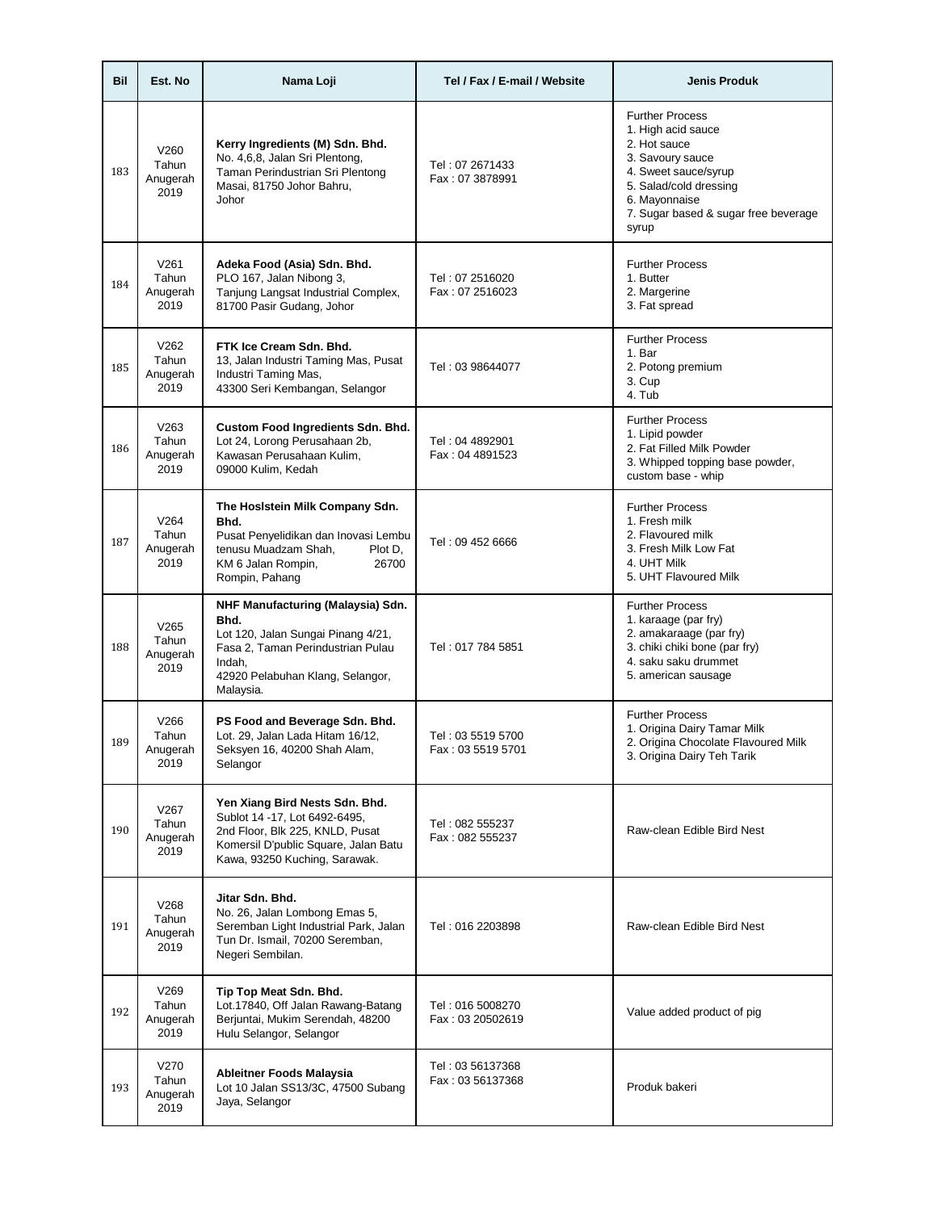| Bil | Est. No                           | Nama Loji                                                                                                                                                                       | Tel / Fax / E-mail / Website           | <b>Jenis Produk</b>                                                                                                                                                                                  |
|-----|-----------------------------------|---------------------------------------------------------------------------------------------------------------------------------------------------------------------------------|----------------------------------------|------------------------------------------------------------------------------------------------------------------------------------------------------------------------------------------------------|
| 183 | V260<br>Tahun<br>Anugerah<br>2019 | Kerry Ingredients (M) Sdn. Bhd.<br>No. 4,6,8, Jalan Sri Plentong,<br>Taman Perindustrian Sri Plentong<br>Masai, 81750 Johor Bahru,<br>Johor                                     | Tel: 07 2671433<br>Fax: 07 3878991     | <b>Further Process</b><br>1. High acid sauce<br>2. Hot sauce<br>3. Savoury sauce<br>4. Sweet sauce/syrup<br>5. Salad/cold dressing<br>6. Mayonnaise<br>7. Sugar based & sugar free beverage<br>syrup |
| 184 | V261<br>Tahun<br>Anugerah<br>2019 | Adeka Food (Asia) Sdn. Bhd.<br>PLO 167, Jalan Nibong 3,<br>Tanjung Langsat Industrial Complex,<br>81700 Pasir Gudang, Johor                                                     | Tel: 07 2516020<br>Fax: 07 2516023     | <b>Further Process</b><br>1. Butter<br>2. Margerine<br>3. Fat spread                                                                                                                                 |
| 185 | V262<br>Tahun<br>Anugerah<br>2019 | FTK Ice Cream Sdn. Bhd.<br>13, Jalan Industri Taming Mas, Pusat<br>Industri Taming Mas,<br>43300 Seri Kembangan, Selangor                                                       | Tel: 03 98644077                       | <b>Further Process</b><br>1. Bar<br>2. Potong premium<br>3. Cup<br>4. Tub                                                                                                                            |
| 186 | V263<br>Tahun<br>Anugerah<br>2019 | Custom Food Ingredients Sdn. Bhd.<br>Lot 24, Lorong Perusahaan 2b,<br>Kawasan Perusahaan Kulim,<br>09000 Kulim, Kedah                                                           | Tel: 04 4892901<br>Fax: 04 4891523     | <b>Further Process</b><br>1. Lipid powder<br>2. Fat Filled Milk Powder<br>3. Whipped topping base powder,<br>custom base - whip                                                                      |
| 187 | V264<br>Tahun<br>Anugerah<br>2019 | The Hoslstein Milk Company Sdn.<br>Bhd.<br>Pusat Penyelidikan dan Inovasi Lembu<br>tenusu Muadzam Shah,<br>Plot D,<br>26700<br>KM 6 Jalan Rompin,<br>Rompin, Pahang             | Tel: 09 452 6666                       | <b>Further Process</b><br>1. Fresh milk<br>2. Flavoured milk<br>3. Fresh Milk Low Fat<br>4. UHT Milk<br>5. UHT Flavoured Milk                                                                        |
| 188 | V265<br>Tahun<br>Anugerah<br>2019 | NHF Manufacturing (Malaysia) Sdn.<br>Bhd.<br>Lot 120, Jalan Sungai Pinang 4/21,<br>Fasa 2, Taman Perindustrian Pulau<br>Indah,<br>42920 Pelabuhan Klang, Selangor,<br>Malaysia. | Tel: 017 784 5851                      | <b>Further Process</b><br>1. karaage (par fry)<br>2. amakaraage (par fry)<br>3. chiki chiki bone (par fry)<br>4. saku saku drummet<br>5. american sausage                                            |
| 189 | V266<br>Tahun<br>Anugerah<br>2019 | PS Food and Beverage Sdn. Bhd.<br>Lot. 29, Jalan Lada Hitam 16/12,<br>Seksyen 16, 40200 Shah Alam,<br>Selangor                                                                  | Tel: 03 5519 5700<br>Fax: 03 5519 5701 | <b>Further Process</b><br>1. Origina Dairy Tamar Milk<br>2. Origina Chocolate Flavoured Milk<br>3. Origina Dairy Teh Tarik                                                                           |
| 190 | V267<br>Tahun<br>Anugerah<br>2019 | Yen Xiang Bird Nests Sdn. Bhd.<br>Sublot 14 -17, Lot 6492-6495,<br>2nd Floor, Blk 225, KNLD, Pusat<br>Komersil D'public Square, Jalan Batu<br>Kawa, 93250 Kuching, Sarawak.     | Tel: 082 555237<br>Fax: 082 555237     | Raw-clean Edible Bird Nest                                                                                                                                                                           |
| 191 | V268<br>Tahun<br>Anugerah<br>2019 | Jitar Sdn. Bhd.<br>No. 26, Jalan Lombong Emas 5,<br>Seremban Light Industrial Park, Jalan<br>Tun Dr. Ismail, 70200 Seremban,<br>Negeri Sembilan.                                | Tel: 016 2203898                       | Raw-clean Edible Bird Nest                                                                                                                                                                           |
| 192 | V269<br>Tahun<br>Anugerah<br>2019 | Tip Top Meat Sdn. Bhd.<br>Lot.17840, Off Jalan Rawang-Batang<br>Berjuntai, Mukim Serendah, 48200<br>Hulu Selangor, Selangor                                                     | Tel: 016 5008270<br>Fax: 03 20502619   | Value added product of pig                                                                                                                                                                           |
| 193 | V270<br>Tahun<br>Anugerah<br>2019 | Ableitner Foods Malaysia<br>Lot 10 Jalan SS13/3C, 47500 Subang<br>Jaya, Selangor                                                                                                | Tel: 03 56137368<br>Fax: 03 56137368   | Produk bakeri                                                                                                                                                                                        |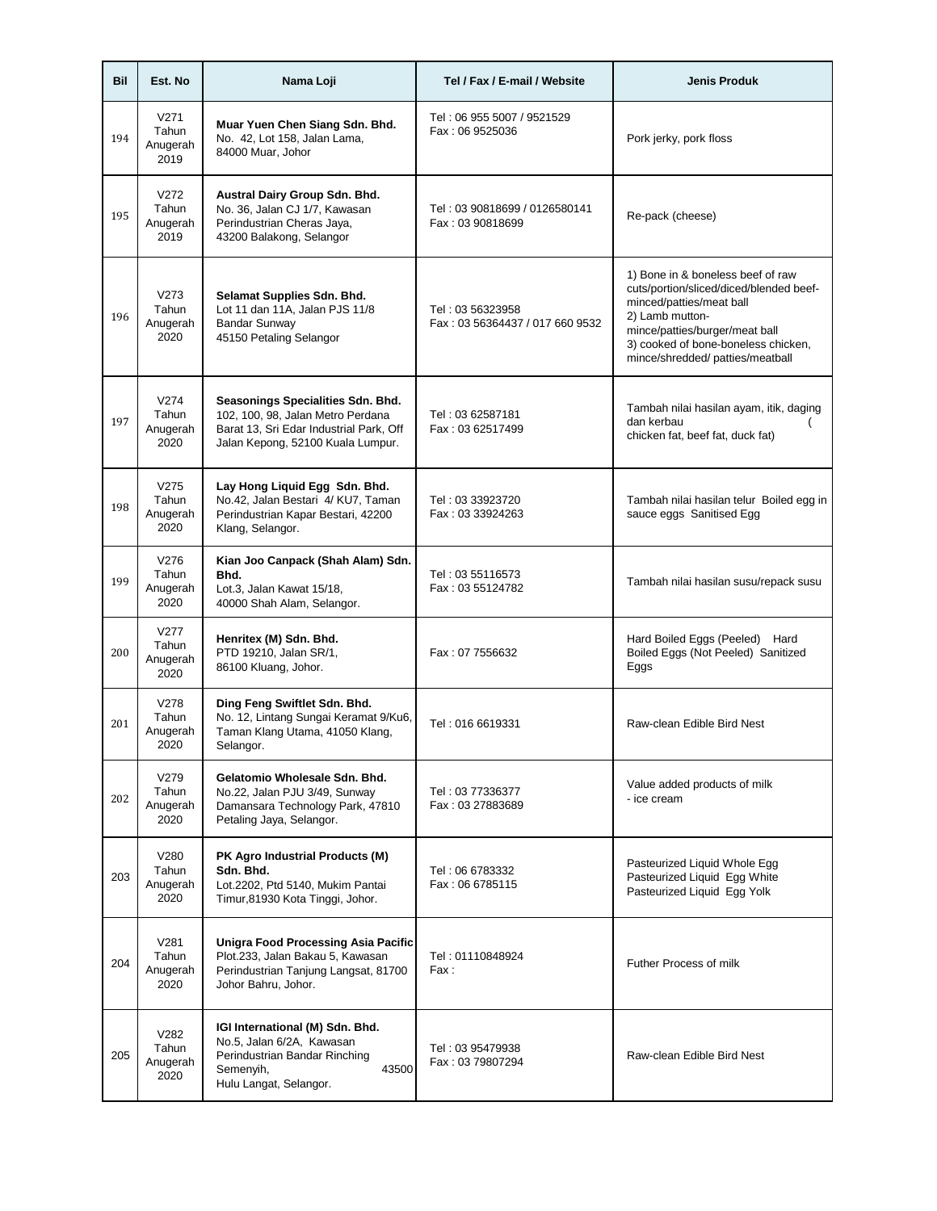| Bil | Est. No                                       | Nama Loji                                                                                                                                              | Tel / Fax / E-mail / Website                        | <b>Jenis Produk</b>                                                                                                                                                                                                                      |
|-----|-----------------------------------------------|--------------------------------------------------------------------------------------------------------------------------------------------------------|-----------------------------------------------------|------------------------------------------------------------------------------------------------------------------------------------------------------------------------------------------------------------------------------------------|
| 194 | V <sub>271</sub><br>Tahun<br>Anugerah<br>2019 | Muar Yuen Chen Siang Sdn. Bhd.<br>No. 42, Lot 158, Jalan Lama,<br>84000 Muar, Johor                                                                    | Tel: 06 955 5007 / 9521529<br>Fax: 06 9525036       | Pork jerky, pork floss                                                                                                                                                                                                                   |
| 195 | V272<br>Tahun<br>Anugerah<br>2019             | Austral Dairy Group Sdn. Bhd.<br>No. 36, Jalan CJ 1/7, Kawasan<br>Perindustrian Cheras Jaya,<br>43200 Balakong, Selangor                               | Tel: 03 90818699 / 0126580141<br>Fax: 03 90818699   | Re-pack (cheese)                                                                                                                                                                                                                         |
| 196 | V273<br>Tahun<br>Anugerah<br>2020             | Selamat Supplies Sdn. Bhd.<br>Lot 11 dan 11A, Jalan PJS 11/8<br><b>Bandar Sunway</b><br>45150 Petaling Selangor                                        | Tel: 03 56323958<br>Fax: 03 56364437 / 017 660 9532 | 1) Bone in & boneless beef of raw<br>cuts/portion/sliced/diced/blended beef-<br>minced/patties/meat ball<br>2) Lamb mutton-<br>mince/patties/burger/meat ball<br>3) cooked of bone-boneless chicken,<br>mince/shredded/ patties/meatball |
| 197 | V274<br>Tahun<br>Anugerah<br>2020             | Seasonings Specialities Sdn. Bhd.<br>102, 100, 98, Jalan Metro Perdana<br>Barat 13, Sri Edar Industrial Park, Off<br>Jalan Kepong, 52100 Kuala Lumpur. | Tel: 03 62587181<br>Fax: 03 62517499                | Tambah nilai hasilan ayam, itik, daging<br>dan kerbau<br>chicken fat, beef fat, duck fat)                                                                                                                                                |
| 198 | V275<br>Tahun<br>Anugerah<br>2020             | Lay Hong Liquid Egg Sdn. Bhd.<br>No.42, Jalan Bestari 4/ KU7, Taman<br>Perindustrian Kapar Bestari, 42200<br>Klang, Selangor.                          | Tel: 03 33923720<br>Fax: 03 33924263                | Tambah nilai hasilan telur Boiled egg in<br>sauce eggs Sanitised Egg                                                                                                                                                                     |
| 199 | V276<br>Tahun<br>Anugerah<br>2020             | Kian Joo Canpack (Shah Alam) Sdn.<br>Bhd.<br>Lot.3, Jalan Kawat 15/18,<br>40000 Shah Alam, Selangor.                                                   | Tel: 03 55116573<br>Fax: 03 55124782                | Tambah nilai hasilan susu/repack susu                                                                                                                                                                                                    |
| 200 | V277<br>Tahun<br>Anugerah<br>2020             | Henritex (M) Sdn. Bhd.<br>PTD 19210, Jalan SR/1,<br>86100 Kluang, Johor.                                                                               | Fax: 07 7556632                                     | Hard Boiled Eggs (Peeled) Hard<br>Boiled Eggs (Not Peeled) Sanitized<br>Eggs                                                                                                                                                             |
| 201 | V278<br>Tahun<br>Anugerah<br>2020             | Ding Feng Swiftlet Sdn. Bhd.<br>No. 12, Lintang Sungai Keramat 9/Ku6,<br>Taman Klang Utama, 41050 Klang,<br>Selangor.                                  | Tel: 016 6619331                                    | Raw-clean Edible Bird Nest                                                                                                                                                                                                               |
| 202 | V279<br>Tahun<br>Anugerah<br>2020             | Gelatomio Wholesale Sdn. Bhd.<br>No.22, Jalan PJU 3/49, Sunway<br>Damansara Technology Park, 47810<br>Petaling Jaya, Selangor.                         | Tel: 03 77336377<br>Fax: 03 27883689                | Value added products of milk<br>- ice cream                                                                                                                                                                                              |
| 203 | V280<br>Tahun<br>Anugerah<br>2020             | PK Agro Industrial Products (M)<br>Sdn. Bhd.<br>Lot.2202, Ptd 5140, Mukim Pantai<br>Timur,81930 Kota Tinggi, Johor.                                    | Tel: 06 6783332<br>Fax: 06 6785115                  | Pasteurized Liquid Whole Egg<br>Pasteurized Liquid Egg White<br>Pasteurized Liquid Egg Yolk                                                                                                                                              |
| 204 | V281<br>Tahun<br>Anugerah<br>2020             | Unigra Food Processing Asia Pacific<br>Plot.233, Jalan Bakau 5, Kawasan<br>Perindustrian Tanjung Langsat, 81700<br>Johor Bahru, Johor.                 | Tel: 01110848924<br>Fax:                            | Futher Process of milk                                                                                                                                                                                                                   |
| 205 | V282<br>Tahun<br>Anugerah<br>2020             | IGI International (M) Sdn. Bhd.<br>No.5, Jalan 6/2A, Kawasan<br>Perindustrian Bandar Rinching<br>Semenyih,<br>43500<br>Hulu Langat, Selangor.          | Tel: 03 95479938<br>Fax: 03 79807294                | Raw-clean Edible Bird Nest                                                                                                                                                                                                               |